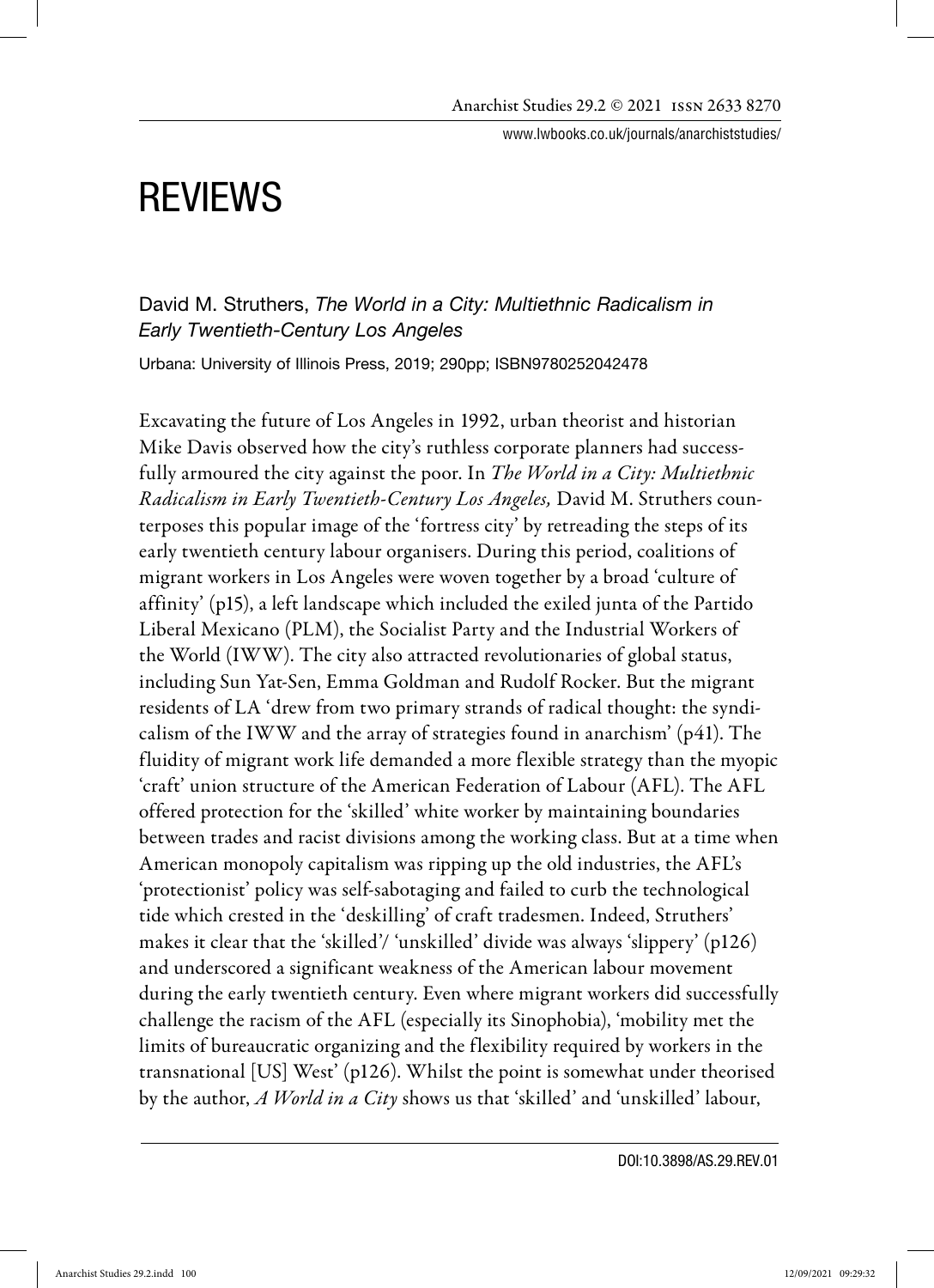www.lwbooks.co.uk/journals/anarchiststudies/

# REVIEWS

David M. Struthers, *The World in a City: Multiethnic Radicalism in Early Twentieth-Century Los Angeles* 

Urbana: University of Illinois Press, 2019; 290pp; ISBN9780252042478

Excavating the future of Los Angeles in 1992, urban theorist and historian Mike Davis observed how the city's ruthless corporate planners had successfully armoured the city against the poor. In *The World in a City: Multiethnic* Radicalism in Early Twentieth-Century Los Angeles, David M. Struthers counterposes this popular image of the 'fortress city' by retreading the steps of its early twentieth century labour organisers. During this period, coalitions of migrant workers in Los Angeles were woven together by a broad 'culture of affinity' (p15), a left landscape which included the exiled junta of the Partido Liberal Mexicano (PLM), the Socialist Party and the Industrial Workers of the World (IWW). The city also attracted revolutionaries of global status, including Sun Yat-Sen, Emma Goldman and Rudolf Rocker. But the migrant residents of LA 'drew from two primary strands of radical thought: the syndicalism of the IWW and the array of strategies found in anarchism' (p41). The fluidity of migrant work life demanded a more flexible strategy than the myopic 'craft' union structure of the American Federation of Labour (AFL). The AFL offered protection for the 'skilled' white worker by maintaining boundaries between trades and racist divisions among the working class. But at a time when American monopoly capitalism was ripping up the old industries, the AFL's 'protectionist' policy was self-sabotaging and failed to curb the technological tide which crested in the 'deskilling' of craft tradesmen. Indeed, Struthers' makes it clear that the 'skilled'/ 'unskilled' divide was always 'slippery' (p126) and underscored a significant weakness of the American labour movement during the early twentieth century. Even where migrant workers did successfully challenge the racism of the AFL (especially its Sinophobia), 'mobility met the limits of bureaucratic organizing and the flexibility required by workers in the transnational [US] West' (p126). Whilst the point is somewhat under theorised by the author, A World in a City shows us that 'skilled' and 'unskilled' labour,

DOI:10.3898/AS.29.REV.01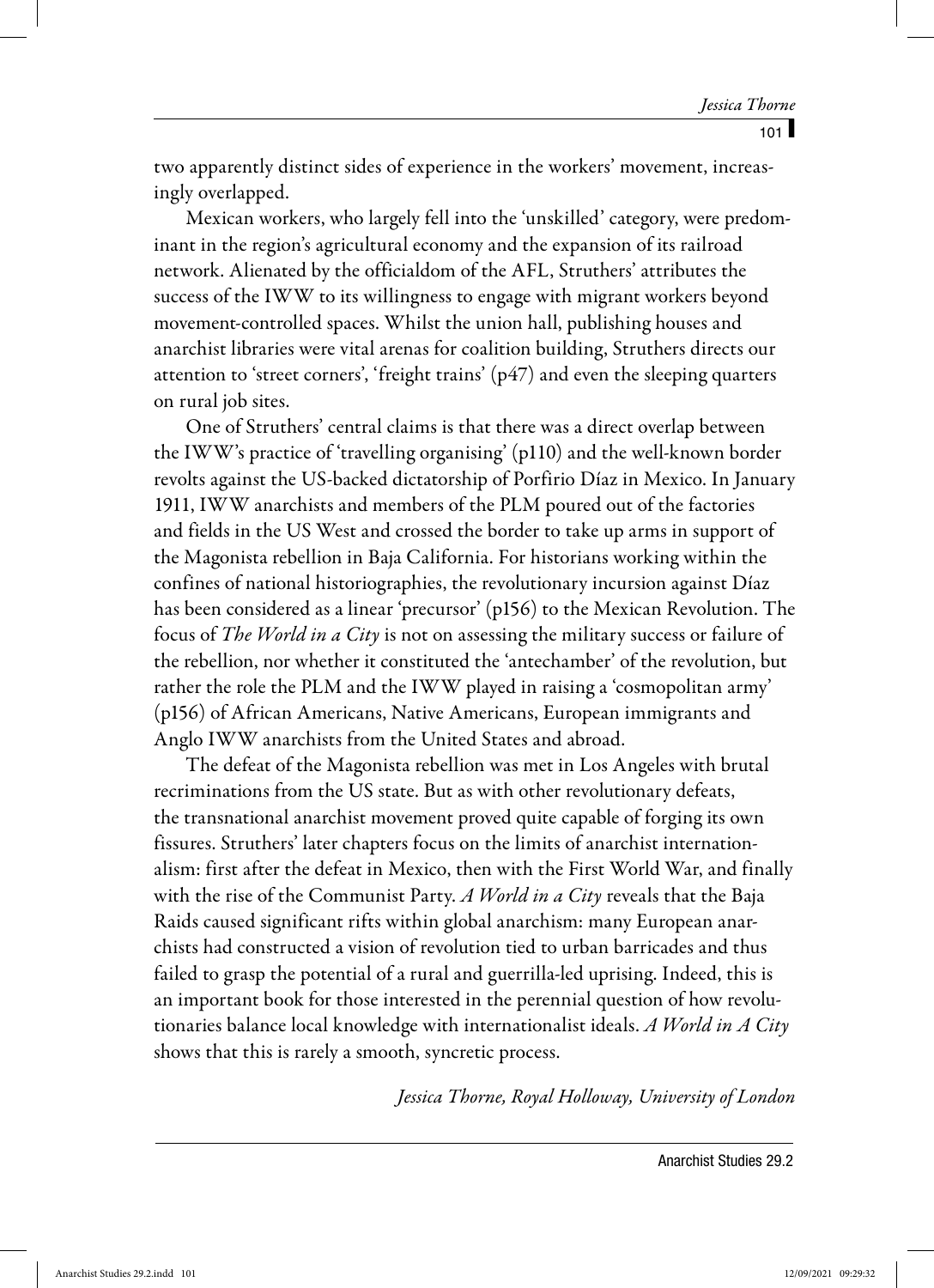two apparently distinct sides of experience in the workers' movement, increasingly overlapped.

Mexican workers, who largely fell into the 'unskilled' category, were predominant in the region's agricultural economy and the expansion of its railroad network. Alienated by the officialdom of the AFL, Struthers' attributes the success of the IWW to its willingness to engage with migrant workers beyond movement-controlled spaces. Whilst the union hall, publishing houses and anarchist libraries were vital arenas for coalition building, Struthers directs our attention to 'street corners', 'freight trains' (p47) and even the sleeping quarters on rural job sites.

One of Struthers' central claims is that there was a direct overlap between the IWW's practice of 'travelling organising' (p110) and the well-known border revolts against the US-backed dictatorship of Porfirio Díaz in Mexico. In January 1911, IWW anarchists and members of the PLM poured out of the factories and fields in the US West and crossed the border to take up arms in support of the Magonista rebellion in Baja California. For historians working within the confines of national historiographies, the revolutionary incursion against Díaz has been considered as a linear 'precursor' (p156) to the Mexican Revolution. The focus of The World in a City is not on assessing the military success or failure of the rebellion, nor whether it constituted the 'antechamber' of the revolution, but rather the role the PLM and the IWW played in raising a 'cosmopolitan army' (p156) of African Americans, Native Americans, European immigrants and Anglo IWW anarchists from the United States and abroad.

The defeat of the Magonista rebellion was met in Los Angeles with brutal recriminations from the US state. But as with other revolutionary defeats, the transnational anarchist movement proved quite capable of forging its own fissures. Struthers' later chapters focus on the limits of anarchist internationalism: first after the defeat in Mexico, then with the First World War, and finally with the rise of the Communist Party. A World in a City reveals that the Baja Raids caused significant rifts within global anarchism: many European anarchists had constructed a vision of revolution tied to urban barricades and thus failed to grasp the potential of a rural and guerrilla-led uprising. Indeed, this is an important book for those interested in the perennial question of how revolutionaries balance local knowledge with internationalist ideals. A World in A City shows that this is rarely a smooth, syncretic process.

Jessica Thorne, Royal Holloway, University of London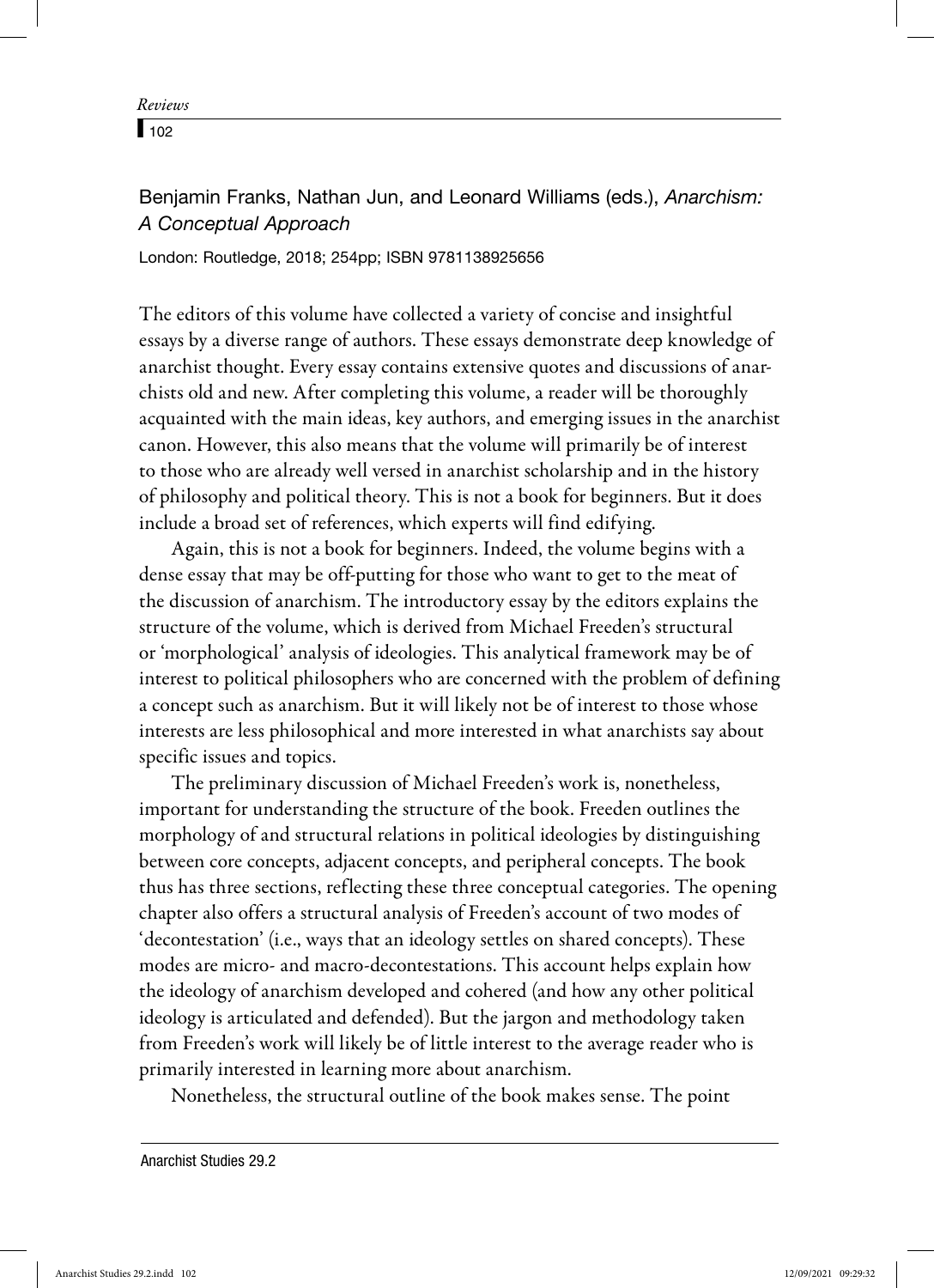$\sqrt{102}$ 

# Benjamin Franks, Nathan Jun, and Leonard Williams (eds.), *Anarchism: A Conceptual Approach*

London: Routledge, 2018; 254pp; ISBN 9781138925656

The editors of this volume have collected a variety of concise and insightful essays by a diverse range of authors. These essays demonstrate deep knowledge of anarchist thought. Every essay contains extensive quotes and discussions of anarchists old and new. After completing this volume, a reader will be thoroughly acquainted with the main ideas, key authors, and emerging issues in the anarchist canon. However, this also means that the volume will primarily be of interest to those who are already well versed in anarchist scholarship and in the history of philosophy and political theory. This is not a book for beginners. But it does include a broad set of references, which experts will find edifying.

Again, this is not a book for beginners. Indeed, the volume begins with a dense essay that may be off-putting for those who want to get to the meat of the discussion of anarchism. The introductory essay by the editors explains the structure of the volume, which is derived from Michael Freeden's structural or 'morphological' analysis of ideologies. This analytical framework may be of interest to political philosophers who are concerned with the problem of defining a concept such as anarchism. But it will likely not be of interest to those whose interests are less philosophical and more interested in what anarchists say about specific issues and topics.

The preliminary discussion of Michael Freeden's work is, nonetheless, important for understanding the structure of the book. Freeden outlines the morphology of and structural relations in political ideologies by distinguishing between core concepts, adjacent concepts, and peripheral concepts. The book thus has three sections, reflecting these three conceptual categories. The opening chapter also offers a structural analysis of Freeden's account of two modes of 'decontestation' (i.e., ways that an ideology settles on shared concepts). These modes are micro- and macro-decontestations. This account helps explain how the ideology of anarchism developed and cohered (and how any other political ideology is articulated and defended). But the jargon and methodology taken from Freeden's work will likely be of little interest to the average reader who is primarily interested in learning more about anarchism.

Nonetheless, the structural outline of the book makes sense. The point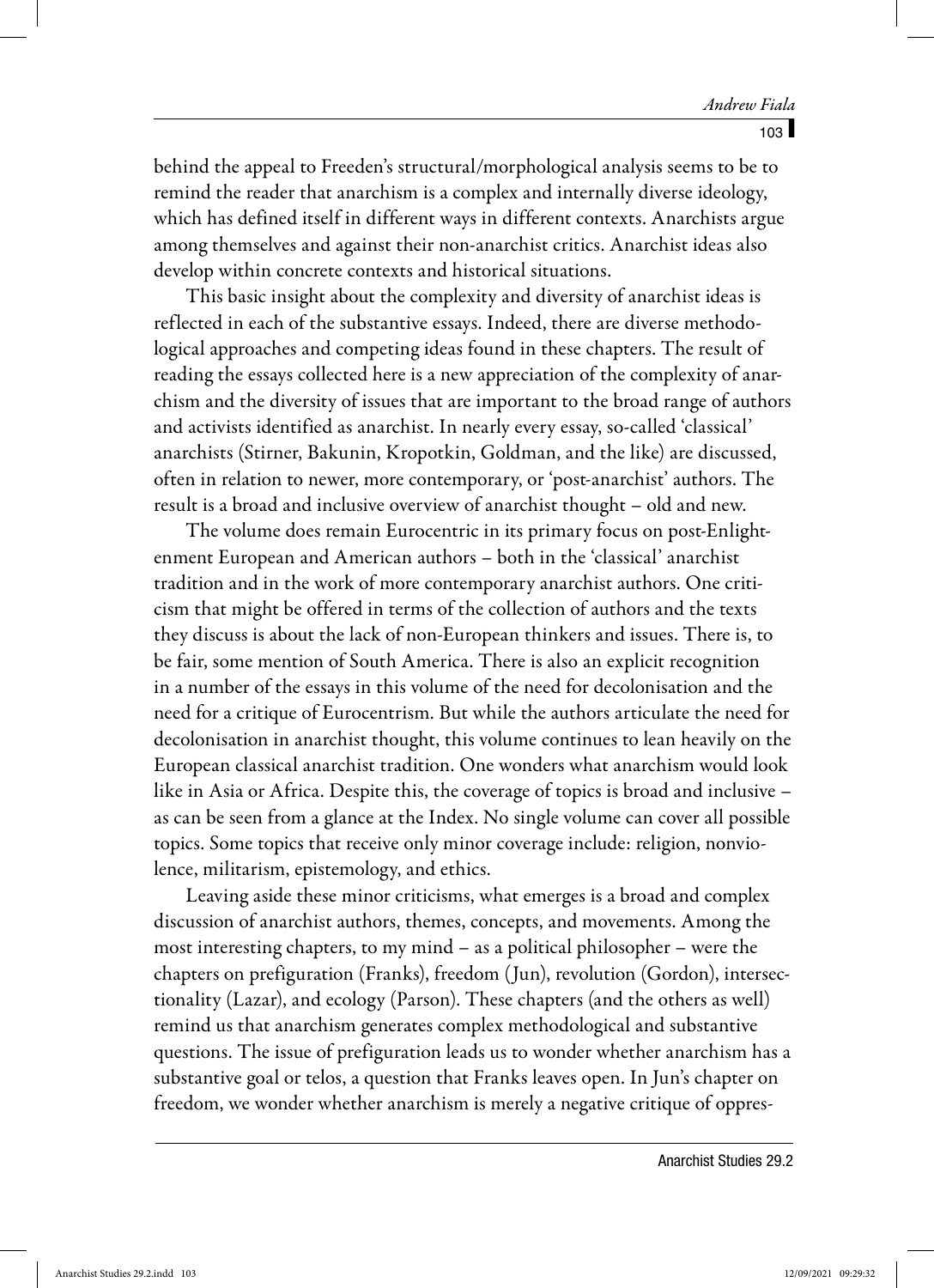behind the appeal to Freeden's structural/morphological analysis seems to be to remind the reader that anarchism is a complex and internally diverse ideology, which has defined itself in different ways in different contexts. Anarchists argue among themselves and against their non-anarchist critics. Anarchist ideas also develop within concrete contexts and historical situations.

This basic insight about the complexity and diversity of anarchist ideas is reflected in each of the substantive essays. Indeed, there are diverse methodological approaches and competing ideas found in these chapters. The result of reading the essays collected here is a new appreciation of the complexity of anarchism and the diversity of issues that are important to the broad range of authors and activists identified as anarchist. In nearly every essay, so-called 'classical' anarchists (Stirner, Bakunin, Kropotkin, Goldman, and the like) are discussed, often in relation to newer, more contemporary, or 'post-anarchist' authors. The result is a broad and inclusive overview of anarchist thought – old and new.

The volume does remain Eurocentric in its primary focus on post-Enlightenment European and American authors – both in the 'classical' anarchist tradition and in the work of more contemporary anarchist authors. One criticism that might be offered in terms of the collection of authors and the texts they discuss is about the lack of non-European thinkers and issues. There is, to be fair, some mention of South America. There is also an explicit recognition in a number of the essays in this volume of the need for decolonisation and the need for a critique of Eurocentrism. But while the authors articulate the need for decolonisation in anarchist thought, this volume continues to lean heavily on the European classical anarchist tradition. One wonders what anarchism would look like in Asia or Africa. Despite this, the coverage of topics is broad and inclusive – as can be seen from a glance at the Index. No single volume can cover all possible topics. Some topics that receive only minor coverage include: religion, nonviolence, militarism, epistemology, and ethics.

Leaving aside these minor criticisms, what emerges is a broad and complex discussion of anarchist authors, themes, concepts, and movements. Among the most interesting chapters, to my mind – as a political philosopher – were the chapters on prefiguration (Franks), freedom (Jun), revolution (Gordon), intersectionality (Lazar), and ecology (Parson). These chapters (and the others as well) remind us that anarchism generates complex methodological and substantive questions. The issue of prefiguration leads us to wonder whether anarchism has a substantive goal or telos, a question that Franks leaves open. In Jun's chapter on freedom, we wonder whether anarchism is merely a negative critique of oppres-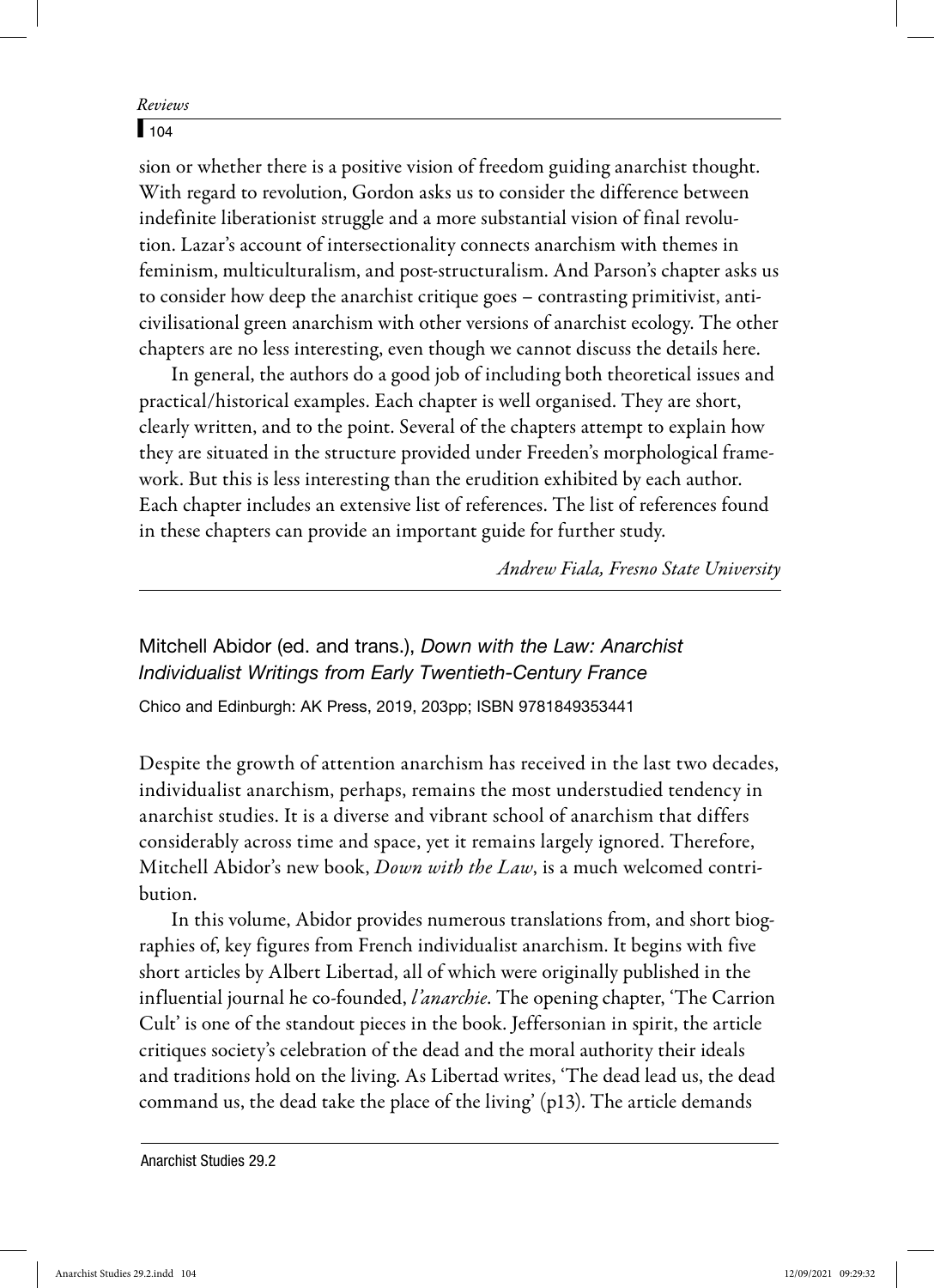## $\sqrt{104}$

sion or whether there is a positive vision of freedom guiding anarchist thought. With regard to revolution, Gordon asks us to consider the difference between indefinite liberationist struggle and a more substantial vision of final revolution. Lazar's account of intersectionality connects anarchism with themes in feminism, multiculturalism, and post-structuralism. And Parson's chapter asks us to consider how deep the anarchist critique goes – contrasting primitivist, anticivilisational green anarchism with other versions of anarchist ecology. The other chapters are no less interesting, even though we cannot discuss the details here.

In general, the authors do a good job of including both theoretical issues and practical/historical examples. Each chapter is well organised. They are short, clearly written, and to the point. Several of the chapters attempt to explain how they are situated in the structure provided under Freeden's morphological framework. But this is less interesting than the erudition exhibited by each author. Each chapter includes an extensive list of references. The list of references found in these chapters can provide an important guide for further study.

Andrew Fiala, Fresno State University

# Mitchell Abidor (ed. and trans.), *Down with the Law: Anarchist Individualist Writings from Early Twentieth-Century France*

Chico and Edinburgh: AK Press, 2019, 203pp; ISBN 9781849353441

Despite the growth of attention anarchism has received in the last two decades, individualist anarchism, perhaps, remains the most understudied tendency in anarchist studies. It is a diverse and vibrant school of anarchism that differs considerably across time and space, yet it remains largely ignored. Therefore, Mitchell Abidor's new book, *Down with the Law*, is a much welcomed contribution.

In this volume, Abidor provides numerous translations from, and short biographies of, key figures from French individualist anarchism. It begins with five short articles by Albert Libertad, all of which were originally published in the influential journal he co-founded, *l'anarchie*. The opening chapter, 'The Carrion Cult' is one of the standout pieces in the book. Jeffersonian in spirit, the article critiques society's celebration of the dead and the moral authority their ideals and traditions hold on the living. As Libertad writes, 'The dead lead us, the dead command us, the dead take the place of the living' (p13). The article demands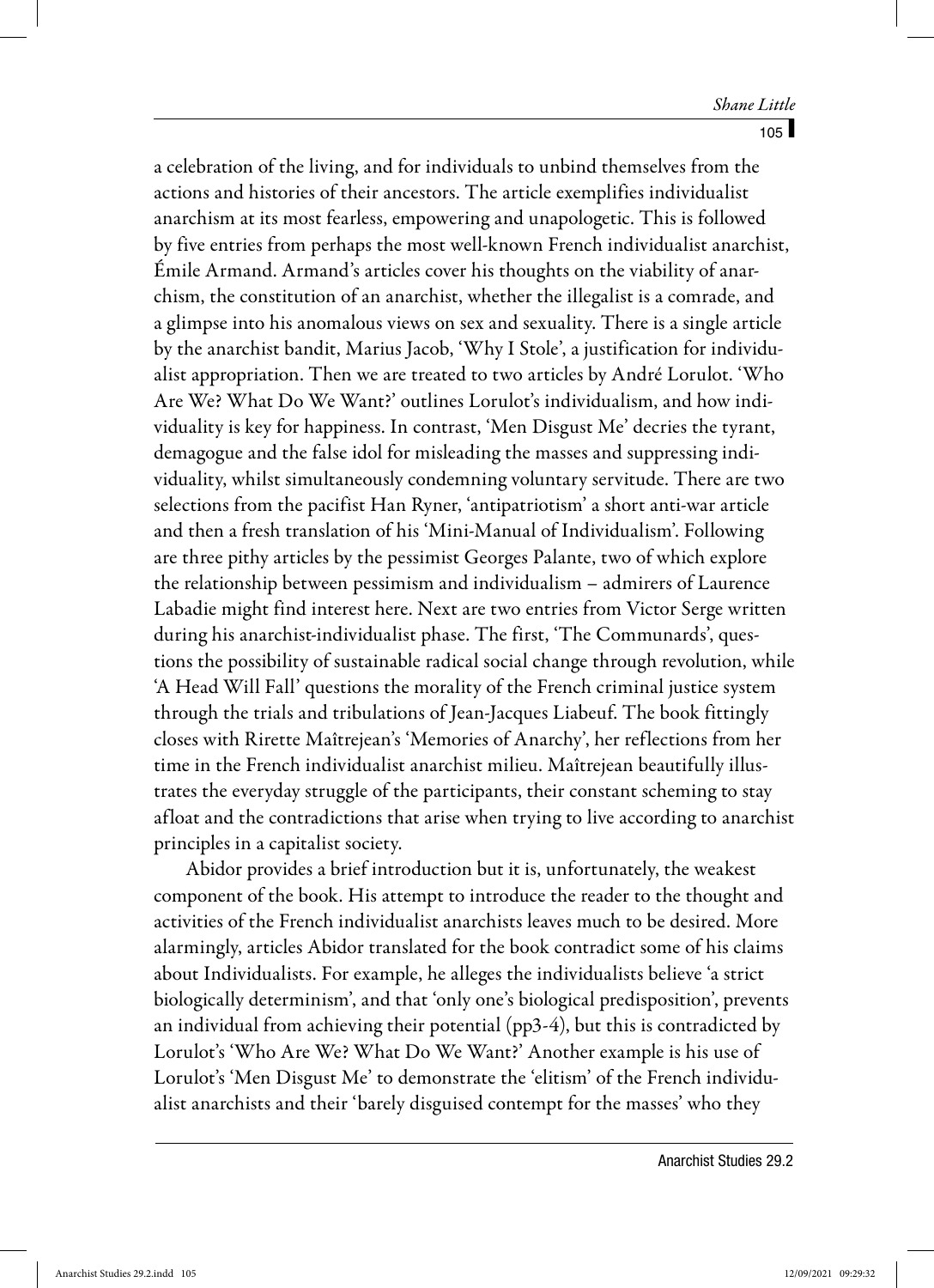a celebration of the living, and for individuals to unbind themselves from the actions and histories of their ancestors. The article exemplifies individualist anarchism at its most fearless, empowering and unapologetic. This is followed by five entries from perhaps the most well-known French individualist anarchist, Émile Armand. Armand's articles cover his thoughts on the viability of anarchism, the constitution of an anarchist, whether the illegalist is a comrade, and a glimpse into his anomalous views on sex and sexuality. There is a single article by the anarchist bandit, Marius Jacob, 'Why I Stole', a justification for individualist appropriation. Then we are treated to two articles by André Lorulot. 'Who Are We? What Do We Want?' outlines Lorulot's individualism, and how individuality is key for happiness. In contrast, 'Men Disgust Me' decries the tyrant, demagogue and the false idol for misleading the masses and suppressing individuality, whilst simultaneously condemning voluntary servitude. There are two selections from the pacifist Han Ryner, 'antipatriotism' a short anti-war article and then a fresh translation of his 'Mini-Manual of Individualism'. Following are three pithy articles by the pessimist Georges Palante, two of which explore the relationship between pessimism and individualism – admirers of Laurence Labadie might find interest here. Next are two entries from Victor Serge written during his anarchist-individualist phase. The first, 'The Communards', questions the possibility of sustainable radical social change through revolution, while 'A Head Will Fall' questions the morality of the French criminal justice system through the trials and tribulations of Jean-Jacques Liabeuf. The book fittingly closes with Rirette Maîtrejean's 'Memories of Anarchy', her reflections from her time in the French individualist anarchist milieu. Maîtrejean beautifully illustrates the everyday struggle of the participants, their constant scheming to stay afloat and the contradictions that arise when trying to live according to anarchist principles in a capitalist society.

Abidor provides a brief introduction but it is, unfortunately, the weakest component of the book. His attempt to introduce the reader to the thought and activities of the French individualist anarchists leaves much to be desired. More alarmingly, articles Abidor translated for the book contradict some of his claims about Individualists. For example, he alleges the individualists believe 'a strict biologically determinism', and that 'only one's biological predisposition', prevents an individual from achieving their potential (pp3-4), but this is contradicted by Lorulot's 'Who Are We? What Do We Want?' Another example is his use of Lorulot's 'Men Disgust Me' to demonstrate the 'elitism' of the French individualist anarchists and their 'barely disguised contempt for the masses' who they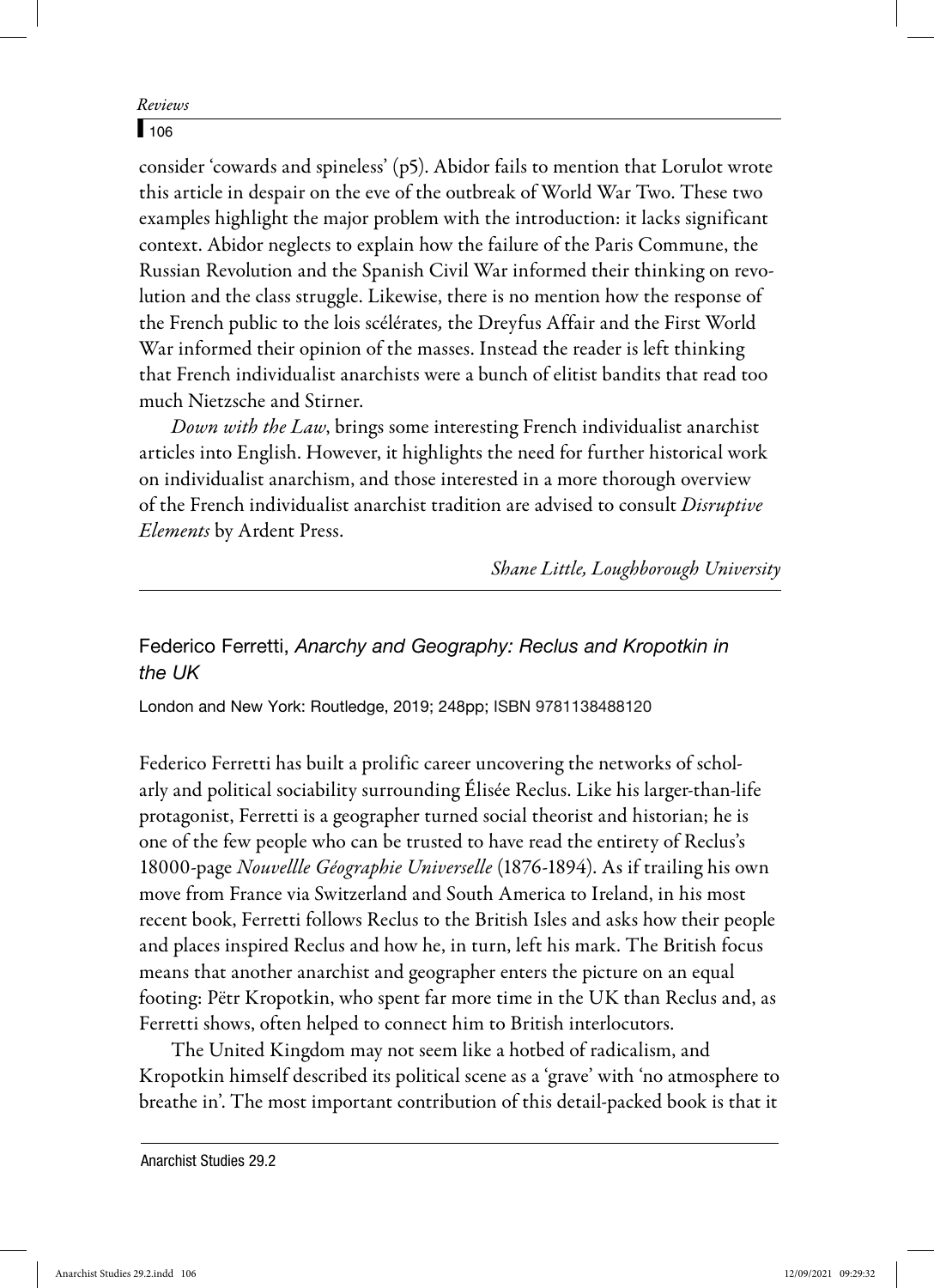## $\sqrt{106}$

consider 'cowards and spineless' (p5). Abidor fails to mention that Lorulot wrote this article in despair on the eve of the outbreak of World War Two. These two examples highlight the major problem with the introduction: it lacks significant context. Abidor neglects to explain how the failure of the Paris Commune, the Russian Revolution and the Spanish Civil War informed their thinking on revolution and the class struggle. Likewise, there is no mention how the response of the French public to the lois scélérates, the Dreyfus Affair and the First World War informed their opinion of the masses. Instead the reader is left thinking that French individualist anarchists were a bunch of elitist bandits that read too much Nietzsche and Stirner.

Down with the Law, brings some interesting French individualist anarchist articles into English. However, it highlights the need for further historical work on individualist anarchism, and those interested in a more thorough overview of the French individualist anarchist tradition are advised to consult Disruptive Elements by Ardent Press.

Shane Little, Loughborough University

# Federico Ferretti, *Anarchy and Geography: Reclus and Kropotkin in the UK*

London and New York: Routledge, 2019; 248pp; ISBN 9781138488120

Federico Ferretti has built a prolific career uncovering the networks of scholarly and political sociability surrounding Élisée Reclus. Like his larger-than-life protagonist, Ferretti is a geographer turned social theorist and historian; he is one of the few people who can be trusted to have read the entirety of Reclus's 18000-page Nouvellle Géographie Universelle (1876-1894). As if trailing his own move from France via Switzerland and South America to Ireland, in his most recent book, Ferretti follows Reclus to the British Isles and asks how their people and places inspired Reclus and how he, in turn, left his mark. The British focus means that another anarchist and geographer enters the picture on an equal footing: Pëtr Kropotkin, who spent far more time in the UK than Reclus and, as Ferretti shows, often helped to connect him to British interlocutors.

The United Kingdom may not seem like a hotbed of radicalism, and Kropotkin himself described its political scene as a 'grave' with 'no atmosphere to breathe in'. The most important contribution of this detail-packed book is that it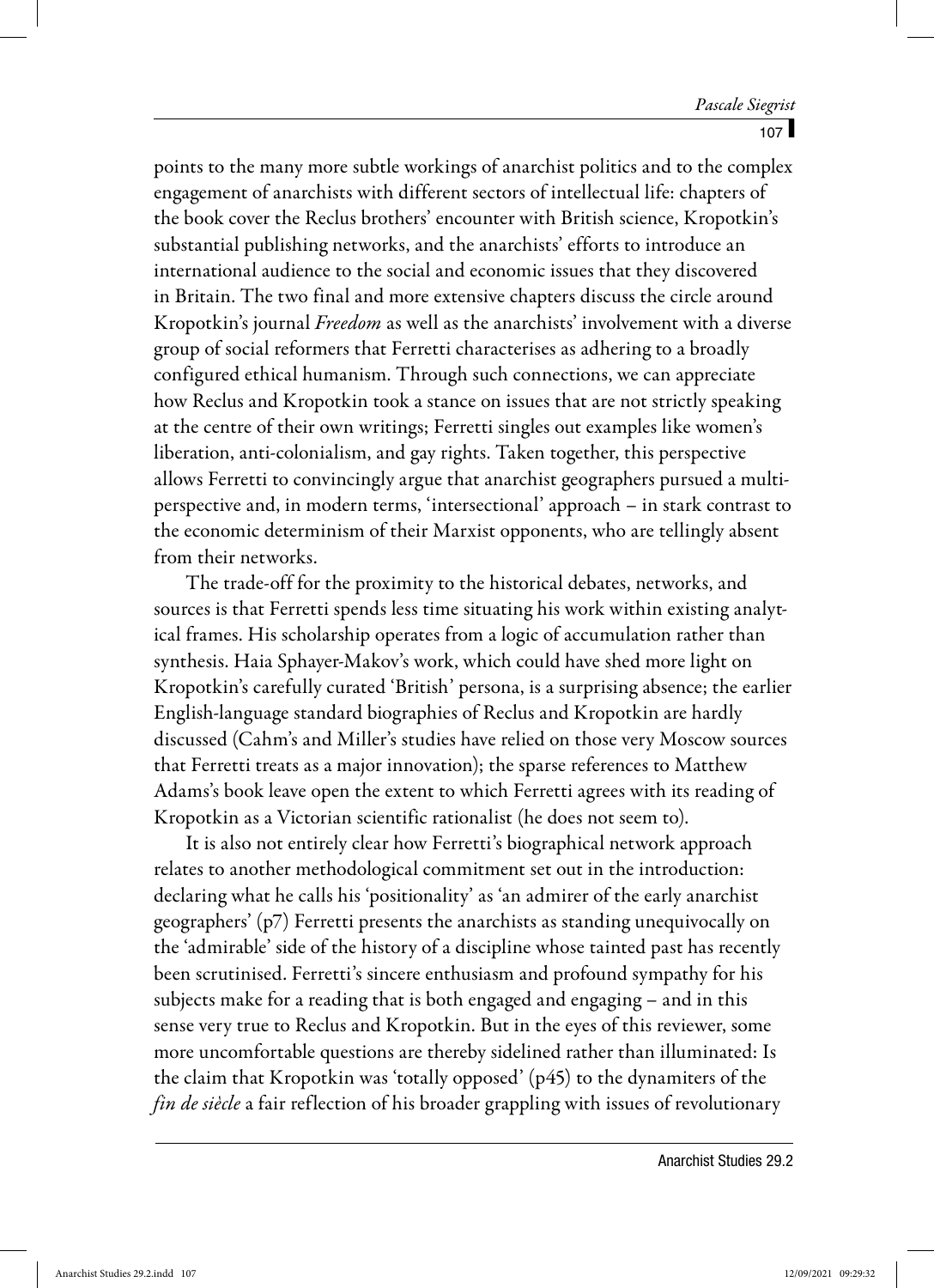points to the many more subtle workings of anarchist politics and to the complex engagement of anarchists with different sectors of intellectual life: chapters of the book cover the Reclus brothers' encounter with British science, Kropotkin's substantial publishing networks, and the anarchists' efforts to introduce an international audience to the social and economic issues that they discovered in Britain. The two final and more extensive chapters discuss the circle around Kropotkin's journal Freedom as well as the anarchists' involvement with a diverse group of social reformers that Ferretti characterises as adhering to a broadly configured ethical humanism. Through such connections, we can appreciate how Reclus and Kropotkin took a stance on issues that are not strictly speaking at the centre of their own writings; Ferretti singles out examples like women's liberation, anti-colonialism, and gay rights. Taken together, this perspective allows Ferretti to convincingly argue that anarchist geographers pursued a multiperspective and, in modern terms, 'intersectional' approach – in stark contrast to the economic determinism of their Marxist opponents, who are tellingly absent from their networks.

The trade-off for the proximity to the historical debates, networks, and sources is that Ferretti spends less time situating his work within existing analytical frames. His scholarship operates from a logic of accumulation rather than synthesis. Haia Sphayer-Makov's work, which could have shed more light on Kropotkin's carefully curated 'British' persona, is a surprising absence; the earlier English-language standard biographies of Reclus and Kropotkin are hardly discussed (Cahm's and Miller's studies have relied on those very Moscow sources that Ferretti treats as a major innovation); the sparse references to Matthew Adams's book leave open the extent to which Ferretti agrees with its reading of Kropotkin as a Victorian scientific rationalist (he does not seem to).

It is also not entirely clear how Ferretti's biographical network approach relates to another methodological commitment set out in the introduction: declaring what he calls his 'positionality' as 'an admirer of the early anarchist geographers' (p7) Ferretti presents the anarchists as standing unequivocally on the 'admirable' side of the history of a discipline whose tainted past has recently been scrutinised. Ferretti's sincere enthusiasm and profound sympathy for his subjects make for a reading that is both engaged and engaging – and in this sense very true to Reclus and Kropotkin. But in the eyes of this reviewer, some more uncomfortable questions are thereby sidelined rather than illuminated: Is the claim that Kropotkin was 'totally opposed' (p45) to the dynamiters of the fin de siècle a fair reflection of his broader grappling with issues of revolutionary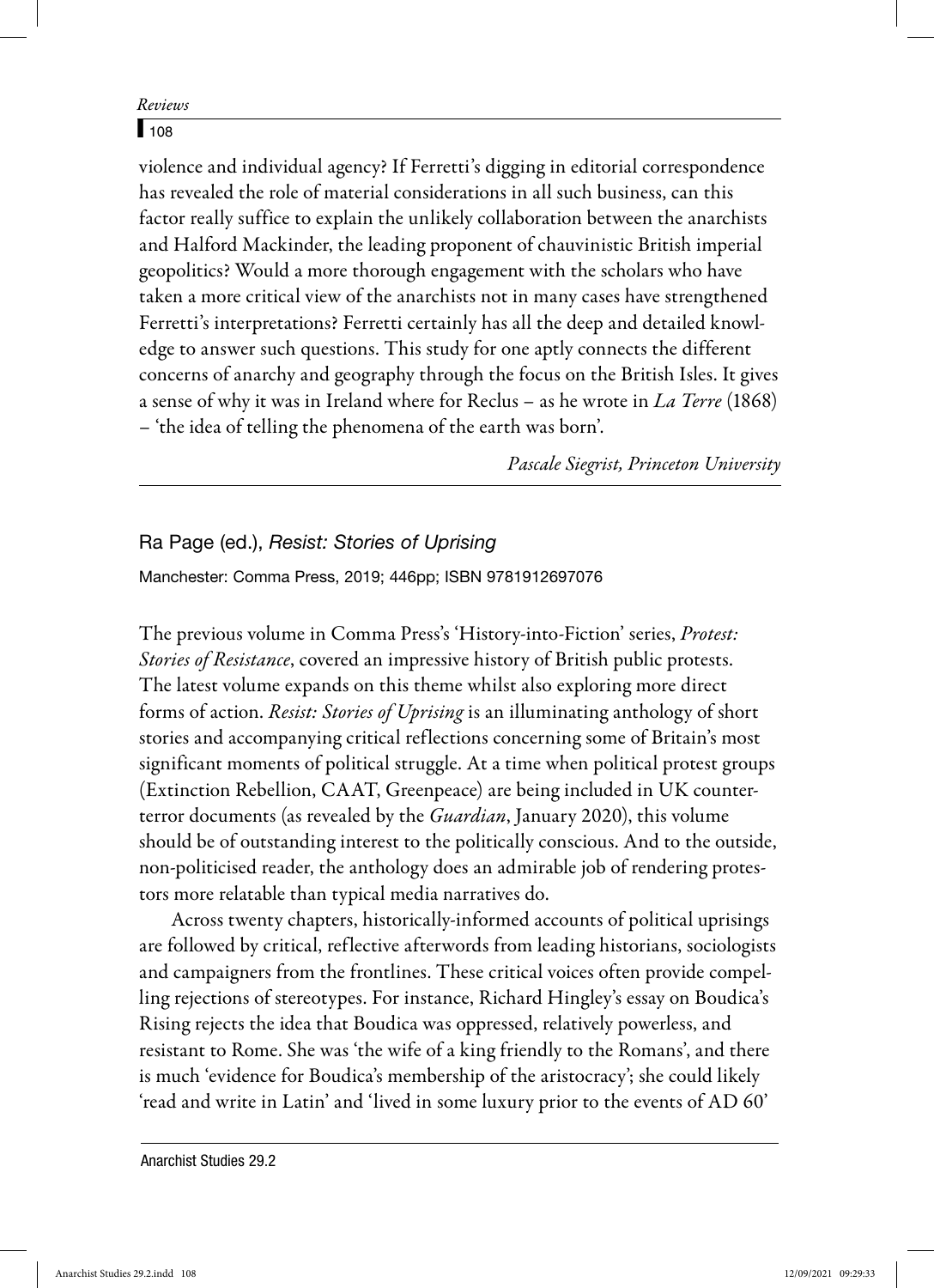### $108$

violence and individual agency? If Ferretti's digging in editorial correspondence has revealed the role of material considerations in all such business, can this factor really suffice to explain the unlikely collaboration between the anarchists and Halford Mackinder, the leading proponent of chauvinistic British imperial geopolitics? Would a more thorough engagement with the scholars who have taken a more critical view of the anarchists not in many cases have strengthened Ferretti's interpretations? Ferretti certainly has all the deep and detailed knowledge to answer such questions. This study for one aptly connects the different concerns of anarchy and geography through the focus on the British Isles. It gives a sense of why it was in Ireland where for Reclus – as he wrote in  $La$  Terre (1868) – 'the idea of telling the phenomena of the earth was born'.

Pascale Siegrist, Princeton University

## Ra Page (ed.), *Resist: Stories of Uprising*

Manchester: Comma Press, 2019; 446pp; ISBN 9781912697076

The previous volume in Comma Press's 'History-into-Fiction' series, Protest: Stories of Resistance, covered an impressive history of British public protests. The latest volume expands on this theme whilst also exploring more direct forms of action. Resist: Stories of Uprising is an illuminating anthology of short stories and accompanying critical reflections concerning some of Britain's most significant moments of political struggle. At a time when political protest groups (Extinction Rebellion, CAAT, Greenpeace) are being included in UK counterterror documents (as revealed by the *Guardian*, January 2020), this volume should be of outstanding interest to the politically conscious. And to the outside, non-politicised reader, the anthology does an admirable job of rendering protestors more relatable than typical media narratives do.

Across twenty chapters, historically-informed accounts of political uprisings are followed by critical, reflective afterwords from leading historians, sociologists and campaigners from the frontlines. These critical voices often provide compelling rejections of stereotypes. For instance, Richard Hingley's essay on Boudica's Rising rejects the idea that Boudica was oppressed, relatively powerless, and resistant to Rome. She was 'the wife of a king friendly to the Romans', and there is much 'evidence for Boudica's membership of the aristocracy'; she could likely 'read and write in Latin' and 'lived in some luxury prior to the events of AD 60'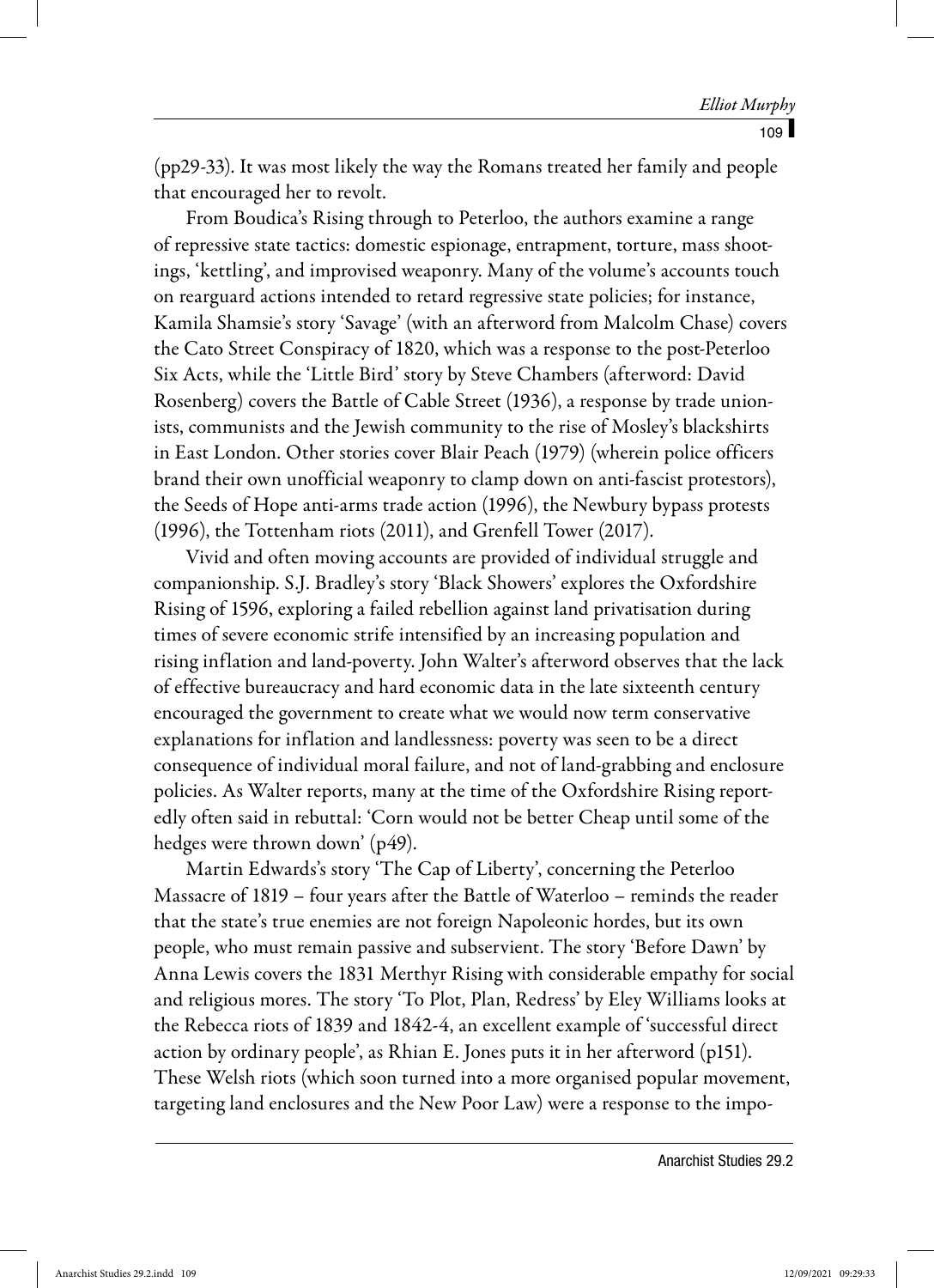(pp29-33). It was most likely the way the Romans treated her family and people that encouraged her to revolt.

From Boudica's Rising through to Peterloo, the authors examine a range of repressive state tactics: domestic espionage, entrapment, torture, mass shootings, 'kettling', and improvised weaponry. Many of the volume's accounts touch on rearguard actions intended to retard regressive state policies; for instance, Kamila Shamsie's story 'Savage' (with an afterword from Malcolm Chase) covers the Cato Street Conspiracy of 1820, which was a response to the post-Peterloo Six Acts, while the 'Little Bird' story by Steve Chambers (afterword: David Rosenberg) covers the Battle of Cable Street (1936), a response by trade unionists, communists and the Jewish community to the rise of Mosley's blackshirts in East London. Other stories cover Blair Peach (1979) (wherein police officers brand their own unofficial weaponry to clamp down on anti-fascist protestors), the Seeds of Hope anti-arms trade action (1996), the Newbury bypass protests (1996), the Tottenham riots (2011), and Grenfell Tower (2017).

Vivid and often moving accounts are provided of individual struggle and companionship. S.J. Bradley's story 'Black Showers' explores the Oxfordshire Rising of 1596, exploring a failed rebellion against land privatisation during times of severe economic strife intensified by an increasing population and rising inflation and land-poverty. John Walter's afterword observes that the lack of effective bureaucracy and hard economic data in the late sixteenth century encouraged the government to create what we would now term conservative explanations for inflation and landlessness: poverty was seen to be a direct consequence of individual moral failure, and not of land-grabbing and enclosure policies. As Walter reports, many at the time of the Oxfordshire Rising reportedly often said in rebuttal: 'Corn would not be better Cheap until some of the hedges were thrown down' (p49).

Martin Edwards's story 'The Cap of Liberty', concerning the Peterloo Massacre of 1819 – four years after the Battle of Waterloo – reminds the reader that the state's true enemies are not foreign Napoleonic hordes, but its own people, who must remain passive and subservient. The story 'Before Dawn' by Anna Lewis covers the 1831 Merthyr Rising with considerable empathy for social and religious mores. The story 'To Plot, Plan, Redress' by Eley Williams looks at the Rebecca riots of 1839 and 1842-4, an excellent example of 'successful direct action by ordinary people', as Rhian E. Jones puts it in her afterword (p151). These Welsh riots (which soon turned into a more organised popular movement, targeting land enclosures and the New Poor Law) were a response to the impo-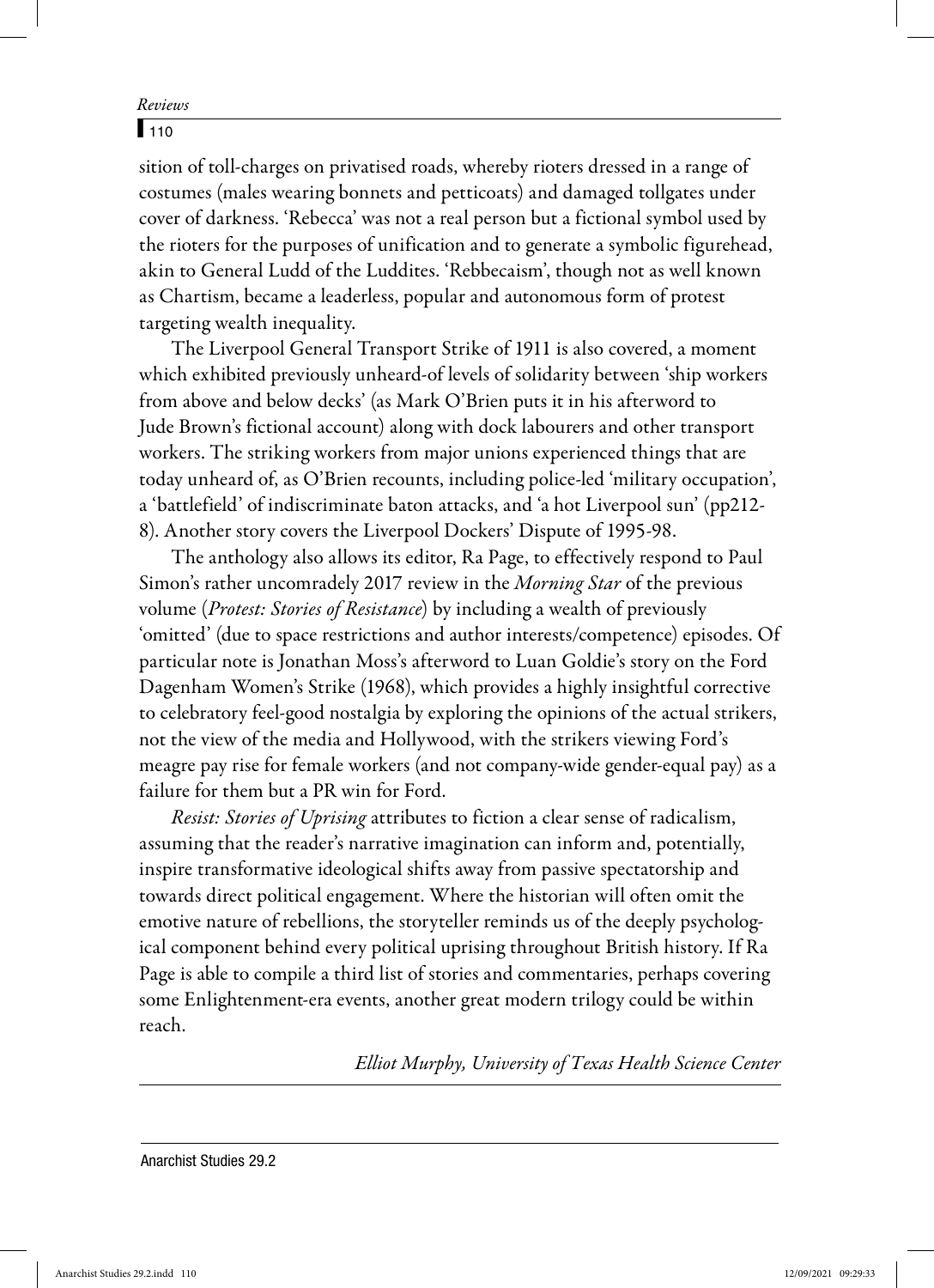## $110$

sition of toll-charges on privatised roads, whereby rioters dressed in a range of costumes (males wearing bonnets and petticoats) and damaged tollgates under cover of darkness. 'Rebecca' was not a real person but a fictional symbol used by the rioters for the purposes of unification and to generate a symbolic figurehead, akin to General Ludd of the Luddites. 'Rebbecaism', though not as well known as Chartism, became a leaderless, popular and autonomous form of protest targeting wealth inequality.

The Liverpool General Transport Strike of 1911 is also covered, a moment which exhibited previously unheard-of levels of solidarity between 'ship workers from above and below decks' (as Mark O'Brien puts it in his afterword to Jude Brown's fictional account) along with dock labourers and other transport workers. The striking workers from major unions experienced things that are today unheard of, as O'Brien recounts, including police-led 'military occupation', a 'battlefield' of indiscriminate baton attacks, and 'a hot Liverpool sun' (pp212- 8). Another story covers the Liverpool Dockers' Dispute of 1995-98.

The anthology also allows its editor, Ra Page, to effectively respond to Paul Simon's rather uncomradely 2017 review in the Morning Star of the previous volume (*Protest: Stories of Resistance*) by including a wealth of previously 'omitted' (due to space restrictions and author interests/competence) episodes. Of particular note is Jonathan Moss's afterword to Luan Goldie's story on the Ford Dagenham Women's Strike (1968), which provides a highly insightful corrective to celebratory feel-good nostalgia by exploring the opinions of the actual strikers, not the view of the media and Hollywood, with the strikers viewing Ford's meagre pay rise for female workers (and not company-wide gender-equal pay) as a failure for them but a PR win for Ford.

Resist: Stories of Uprising attributes to fiction a clear sense of radicalism, assuming that the reader's narrative imagination can inform and, potentially, inspire transformative ideological shifts away from passive spectatorship and towards direct political engagement. Where the historian will often omit the emotive nature of rebellions, the storyteller reminds us of the deeply psychological component behind every political uprising throughout British history. If Ra Page is able to compile a third list of stories and commentaries, perhaps covering some Enlightenment-era events, another great modern trilogy could be within reach.

Elliot Murphy, University of Texas Health Science Center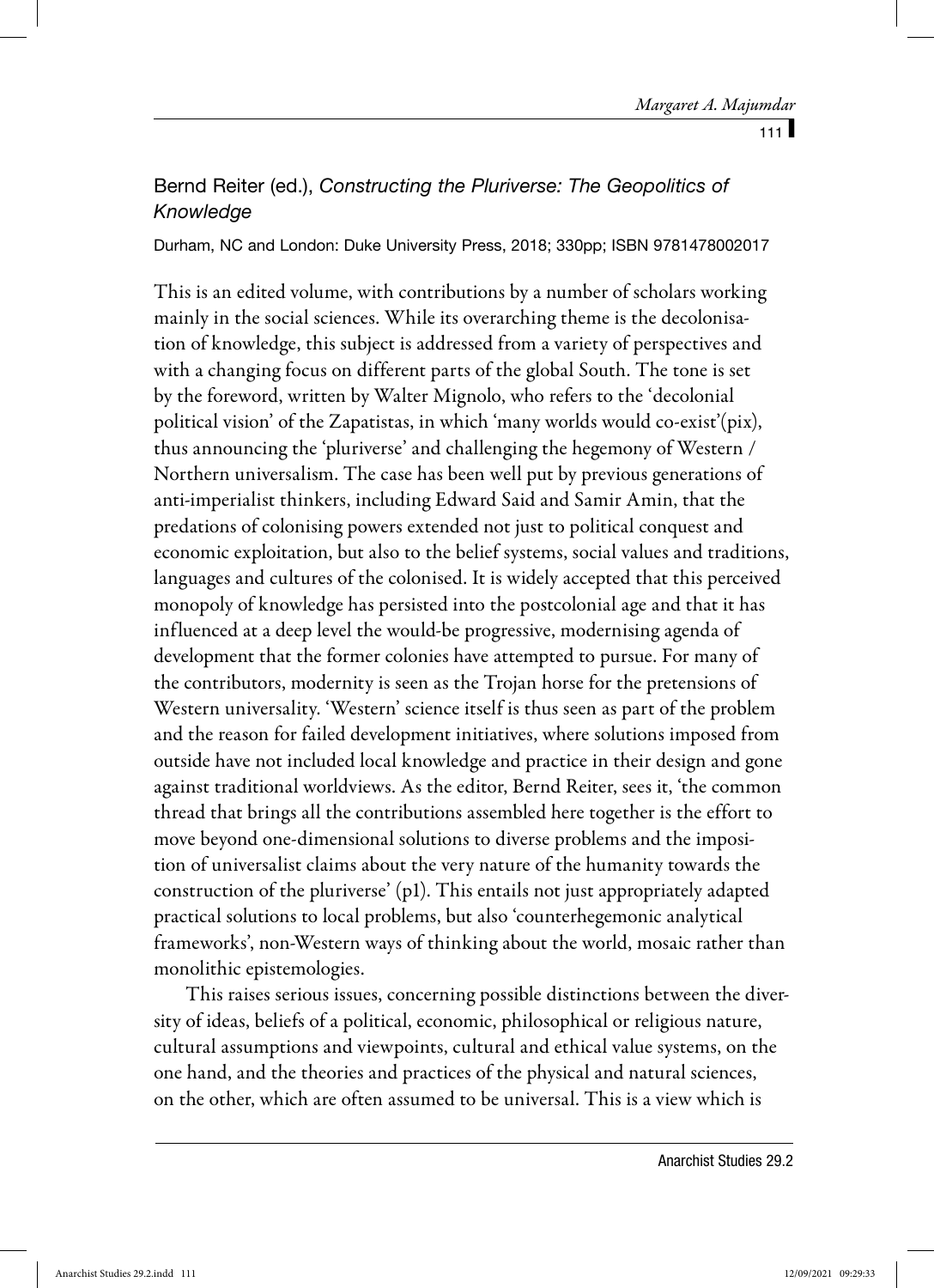# Bernd Reiter (ed.), *Constructing the Pluriverse: The Geopolitics of Knowledge*

Durham, NC and London: Duke University Press, 2018; 330pp; ISBN 9781478002017

This is an edited volume, with contributions by a number of scholars working mainly in the social sciences. While its overarching theme is the decolonisation of knowledge, this subject is addressed from a variety of perspectives and with a changing focus on different parts of the global South. The tone is set by the foreword, written by Walter Mignolo, who refers to the 'decolonial political vision' of the Zapatistas, in which 'many worlds would co-exist'(pix), thus announcing the 'pluriverse' and challenging the hegemony of Western / Northern universalism. The case has been well put by previous generations of anti-imperialist thinkers, including Edward Said and Samir Amin, that the predations of colonising powers extended not just to political conquest and economic exploitation, but also to the belief systems, social values and traditions, languages and cultures of the colonised. It is widely accepted that this perceived monopoly of knowledge has persisted into the postcolonial age and that it has influenced at a deep level the would-be progressive, modernising agenda of development that the former colonies have attempted to pursue. For many of the contributors, modernity is seen as the Trojan horse for the pretensions of Western universality. 'Western' science itself is thus seen as part of the problem and the reason for failed development initiatives, where solutions imposed from outside have not included local knowledge and practice in their design and gone against traditional worldviews. As the editor, Bernd Reiter, sees it, 'the common thread that brings all the contributions assembled here together is the effort to move beyond one-dimensional solutions to diverse problems and the imposition of universalist claims about the very nature of the humanity towards the construction of the pluriverse' (p1). This entails not just appropriately adapted practical solutions to local problems, but also 'counterhegemonic analytical frameworks', non-Western ways of thinking about the world, mosaic rather than monolithic epistemologies.

This raises serious issues, concerning possible distinctions between the diversity of ideas, beliefs of a political, economic, philosophical or religious nature, cultural assumptions and viewpoints, cultural and ethical value systems, on the one hand, and the theories and practices of the physical and natural sciences, on the other, which are often assumed to be universal. This is a view which is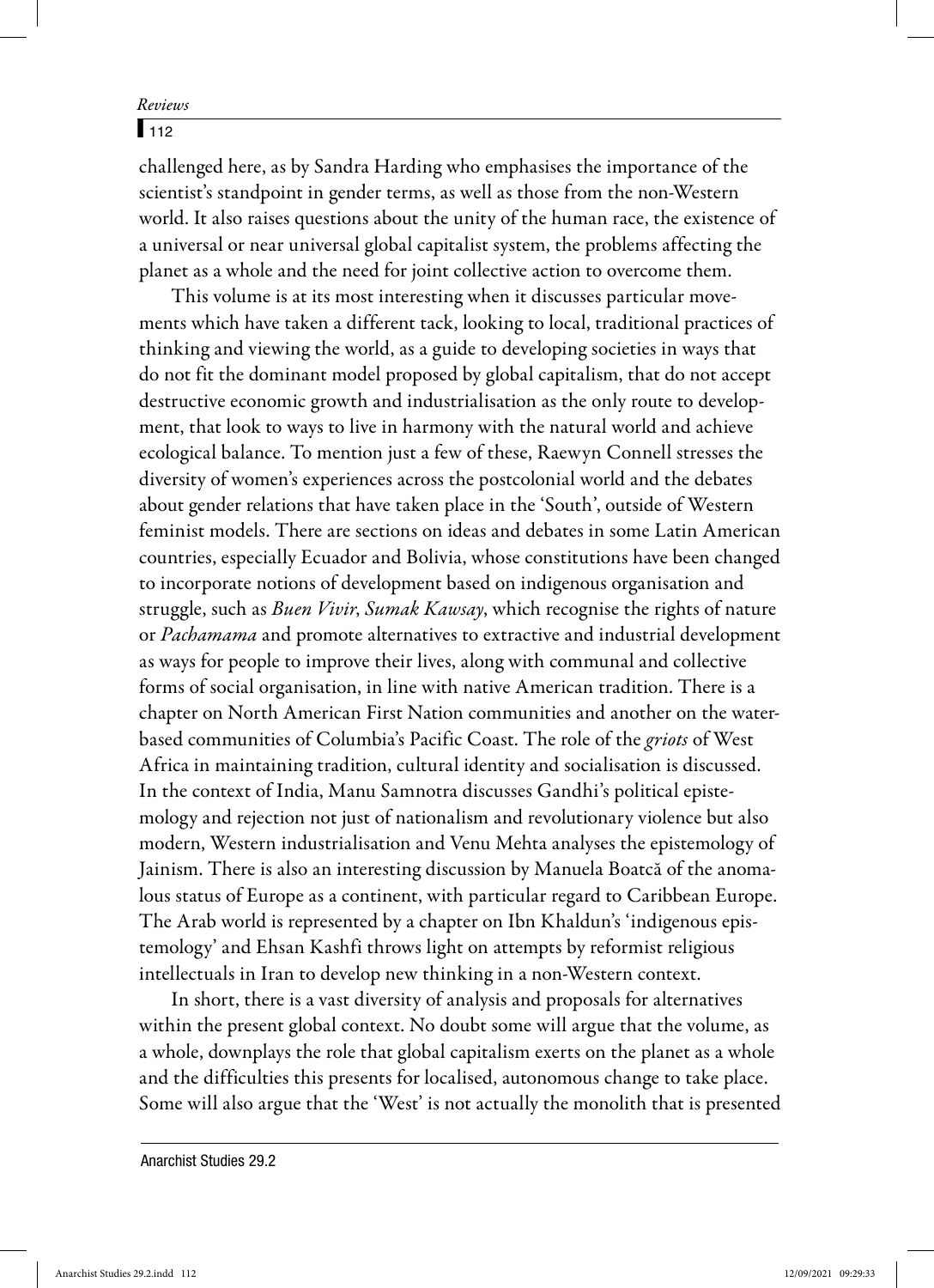## $\sqrt{112}$

challenged here, as by Sandra Harding who emphasises the importance of the scientist's standpoint in gender terms, as well as those from the non-Western world. It also raises questions about the unity of the human race, the existence of a universal or near universal global capitalist system, the problems affecting the planet as a whole and the need for joint collective action to overcome them.

This volume is at its most interesting when it discusses particular movements which have taken a different tack, looking to local, traditional practices of thinking and viewing the world, as a guide to developing societies in ways that do not fit the dominant model proposed by global capitalism, that do not accept destructive economic growth and industrialisation as the only route to development, that look to ways to live in harmony with the natural world and achieve ecological balance. To mention just a few of these, Raewyn Connell stresses the diversity of women's experiences across the postcolonial world and the debates about gender relations that have taken place in the 'South', outside of Western feminist models. There are sections on ideas and debates in some Latin American countries, especially Ecuador and Bolivia, whose constitutions have been changed to incorporate notions of development based on indigenous organisation and struggle, such as Buen Vivir, Sumak Kawsay, which recognise the rights of nature or Pachamama and promote alternatives to extractive and industrial development as ways for people to improve their lives, along with communal and collective forms of social organisation, in line with native American tradition. There is a chapter on North American First Nation communities and another on the waterbased communities of Columbia's Pacific Coast. The role of the griots of West Africa in maintaining tradition, cultural identity and socialisation is discussed. In the context of India, Manu Samnotra discusses Gandhi's political epistemology and rejection not just of nationalism and revolutionary violence but also modern, Western industrialisation and Venu Mehta analyses the epistemology of Jainism. There is also an interesting discussion by Manuela Boatcă of the anomalous status of Europe as a continent, with particular regard to Caribbean Europe. The Arab world is represented by a chapter on Ibn Khaldun's 'indigenous epistemology' and Ehsan Kashfi throws light on attempts by reformist religious intellectuals in Iran to develop new thinking in a non-Western context.

In short, there is a vast diversity of analysis and proposals for alternatives within the present global context. No doubt some will argue that the volume, as a whole, downplays the role that global capitalism exerts on the planet as a whole and the difficulties this presents for localised, autonomous change to take place. Some will also argue that the 'West' is not actually the monolith that is presented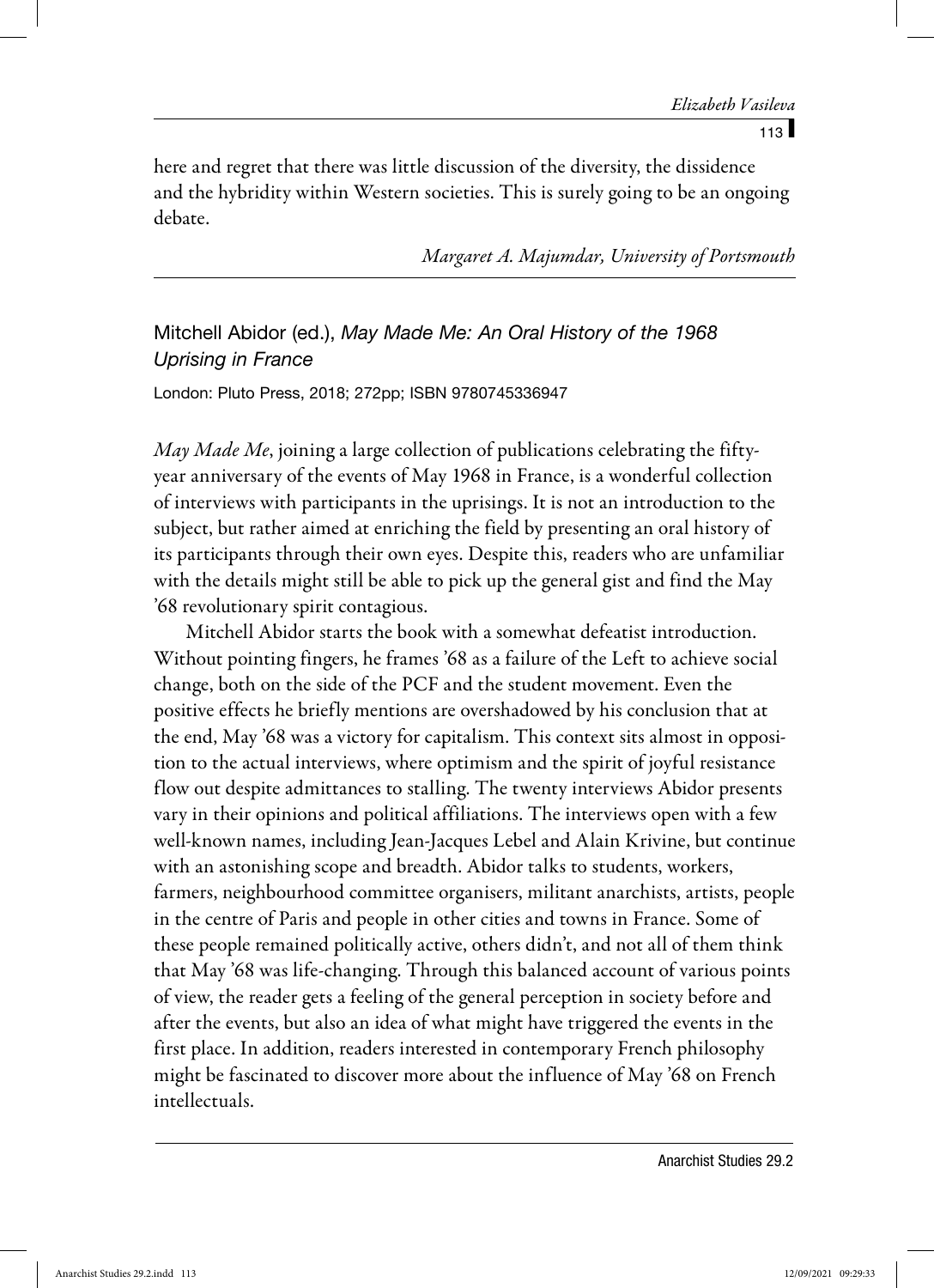$113$   $\blacksquare$ 

here and regret that there was little discussion of the diversity, the dissidence and the hybridity within Western societies. This is surely going to be an ongoing debate.

Margaret A. Majumdar, University of Portsmouth

# Mitchell Abidor (ed.), *May Made Me: An Oral History of the 1968 Uprising in France*

London: Pluto Press, 2018; 272pp; ISBN 9780745336947

May Made Me, joining a large collection of publications celebrating the fiftyyear anniversary of the events of May 1968 in France, is a wonderful collection of interviews with participants in the uprisings. It is not an introduction to the subject, but rather aimed at enriching the field by presenting an oral history of its participants through their own eyes. Despite this, readers who are unfamiliar with the details might still be able to pick up the general gist and find the May '68 revolutionary spirit contagious.

Mitchell Abidor starts the book with a somewhat defeatist introduction. Without pointing fingers, he frames '68 as a failure of the Left to achieve social change, both on the side of the PCF and the student movement. Even the positive effects he briefly mentions are overshadowed by his conclusion that at the end, May '68 was a victory for capitalism. This context sits almost in opposition to the actual interviews, where optimism and the spirit of joyful resistance flow out despite admittances to stalling. The twenty interviews Abidor presents vary in their opinions and political affiliations. The interviews open with a few well-known names, including Jean-Jacques Lebel and Alain Krivine, but continue with an astonishing scope and breadth. Abidor talks to students, workers, farmers, neighbourhood committee organisers, militant anarchists, artists, people in the centre of Paris and people in other cities and towns in France. Some of these people remained politically active, others didn't, and not all of them think that May '68 was life-changing. Through this balanced account of various points of view, the reader gets a feeling of the general perception in society before and after the events, but also an idea of what might have triggered the events in the first place. In addition, readers interested in contemporary French philosophy might be fascinated to discover more about the influence of May '68 on French intellectuals.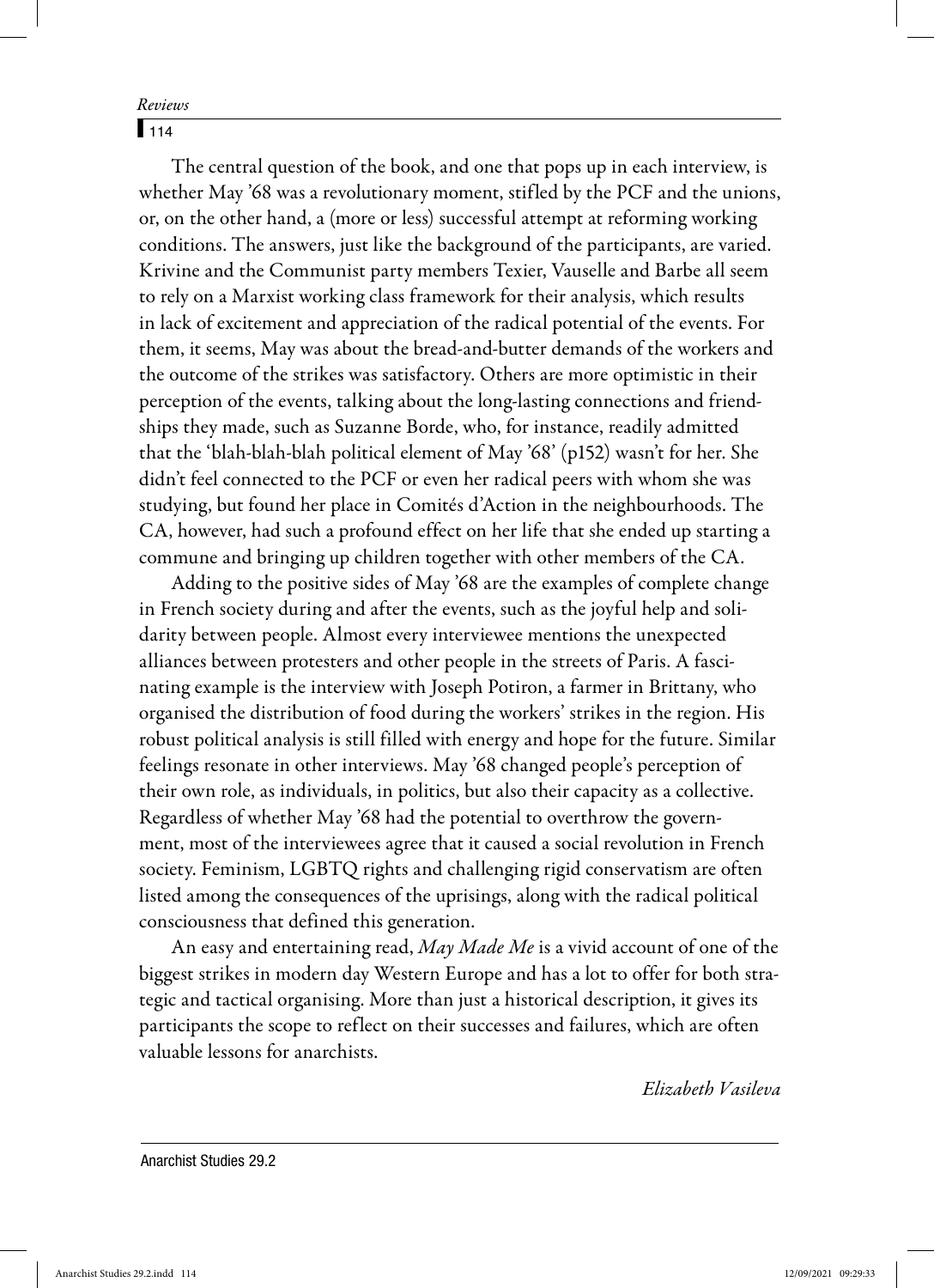$114$ 

The central question of the book, and one that pops up in each interview, is whether May '68 was a revolutionary moment, stifled by the PCF and the unions, or, on the other hand, a (more or less) successful attempt at reforming working conditions. The answers, just like the background of the participants, are varied. Krivine and the Communist party members Texier, Vauselle and Barbe all seem to rely on a Marxist working class framework for their analysis, which results in lack of excitement and appreciation of the radical potential of the events. For them, it seems, May was about the bread-and-butter demands of the workers and the outcome of the strikes was satisfactory. Others are more optimistic in their perception of the events, talking about the long-lasting connections and friendships they made, such as Suzanne Borde, who, for instance, readily admitted that the 'blah-blah-blah political element of May '68' (p152) wasn't for her. She didn't feel connected to the PCF or even her radical peers with whom she was studying, but found her place in Comités d'Action in the neighbourhoods. The CA, however, had such a profound effect on her life that she ended up starting a commune and bringing up children together with other members of the CA.

Adding to the positive sides of May '68 are the examples of complete change in French society during and after the events, such as the joyful help and solidarity between people. Almost every interviewee mentions the unexpected alliances between protesters and other people in the streets of Paris. A fascinating example is the interview with Joseph Potiron, a farmer in Brittany, who organised the distribution of food during the workers' strikes in the region. His robust political analysis is still filled with energy and hope for the future. Similar feelings resonate in other interviews. May '68 changed people's perception of their own role, as individuals, in politics, but also their capacity as a collective. Regardless of whether May '68 had the potential to overthrow the government, most of the interviewees agree that it caused a social revolution in French society. Feminism, LGBTQ rights and challenging rigid conservatism are often listed among the consequences of the uprisings, along with the radical political consciousness that defined this generation.

An easy and entertaining read, May Made Me is a vivid account of one of the biggest strikes in modern day Western Europe and has a lot to offer for both strategic and tactical organising. More than just a historical description, it gives its participants the scope to reflect on their successes and failures, which are often valuable lessons for anarchists.

Elizabeth Vasileva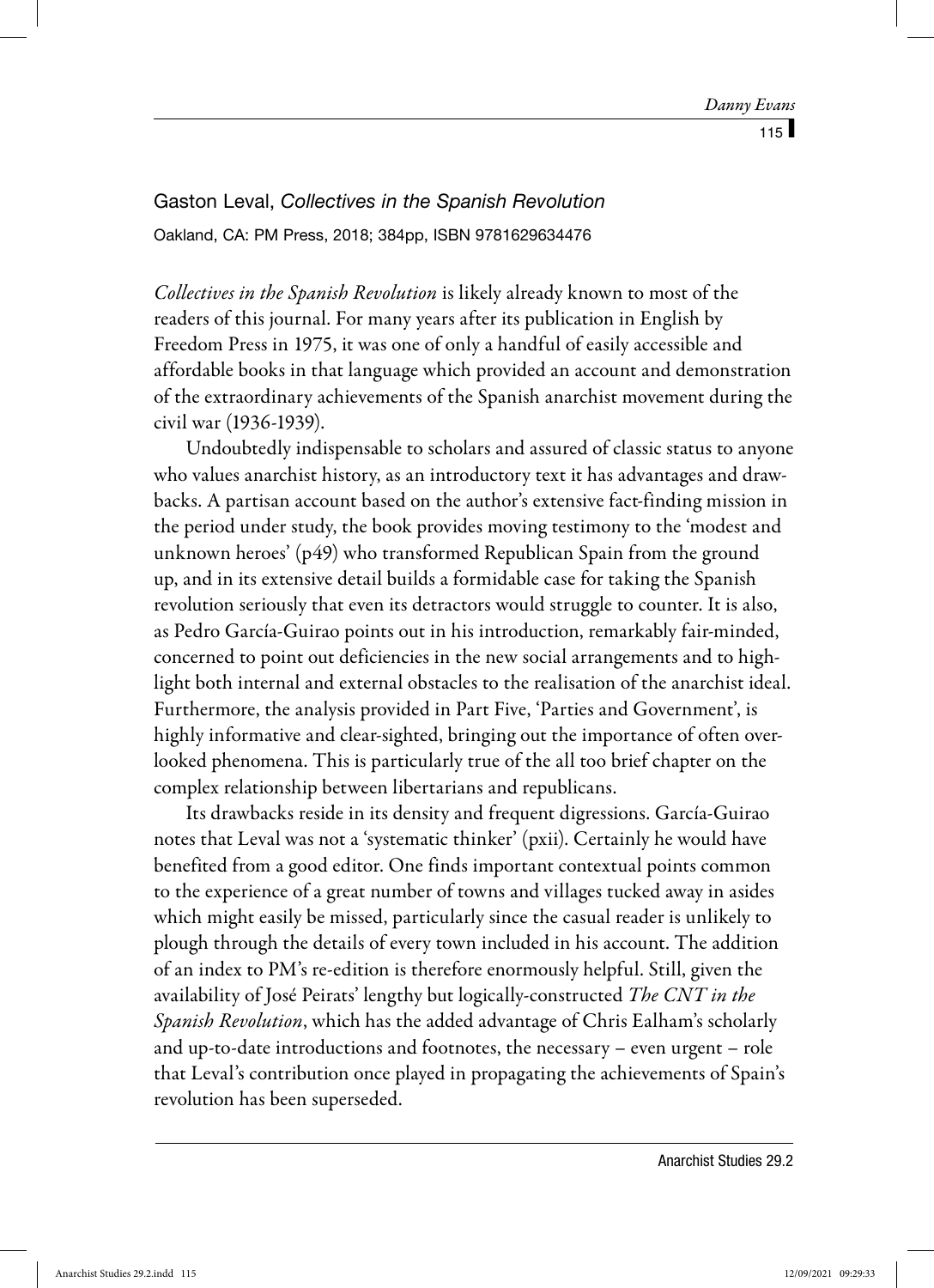Gaston Leval, *Collectives in the Spanish Revolution* Oakland, CA: PM Press, 2018; 384pp, ISBN 9781629634476

Collectives in the Spanish Revolution is likely already known to most of the readers of this journal. For many years after its publication in English by Freedom Press in 1975, it was one of only a handful of easily accessible and affordable books in that language which provided an account and demonstration of the extraordinary achievements of the Spanish anarchist movement during the civil war (1936-1939).

Undoubtedly indispensable to scholars and assured of classic status to anyone who values anarchist history, as an introductory text it has advantages and drawbacks. A partisan account based on the author's extensive fact-finding mission in the period under study, the book provides moving testimony to the 'modest and unknown heroes' (p49) who transformed Republican Spain from the ground up, and in its extensive detail builds a formidable case for taking the Spanish revolution seriously that even its detractors would struggle to counter. It is also, as Pedro García-Guirao points out in his introduction, remarkably fair-minded, concerned to point out deficiencies in the new social arrangements and to highlight both internal and external obstacles to the realisation of the anarchist ideal. Furthermore, the analysis provided in Part Five, 'Parties and Government', is highly informative and clear-sighted, bringing out the importance of often overlooked phenomena. This is particularly true of the all too brief chapter on the complex relationship between libertarians and republicans.

Its drawbacks reside in its density and frequent digressions. García-Guirao notes that Leval was not a 'systematic thinker' (pxii). Certainly he would have benefited from a good editor. One finds important contextual points common to the experience of a great number of towns and villages tucked away in asides which might easily be missed, particularly since the casual reader is unlikely to plough through the details of every town included in his account. The addition of an index to PM's re-edition is therefore enormously helpful. Still, given the availability of José Peirats' lengthy but logically-constructed The CNT in the Spanish Revolution, which has the added advantage of Chris Ealham's scholarly and up-to-date introductions and footnotes, the necessary – even urgent – role that Leval's contribution once played in propagating the achievements of Spain's revolution has been superseded.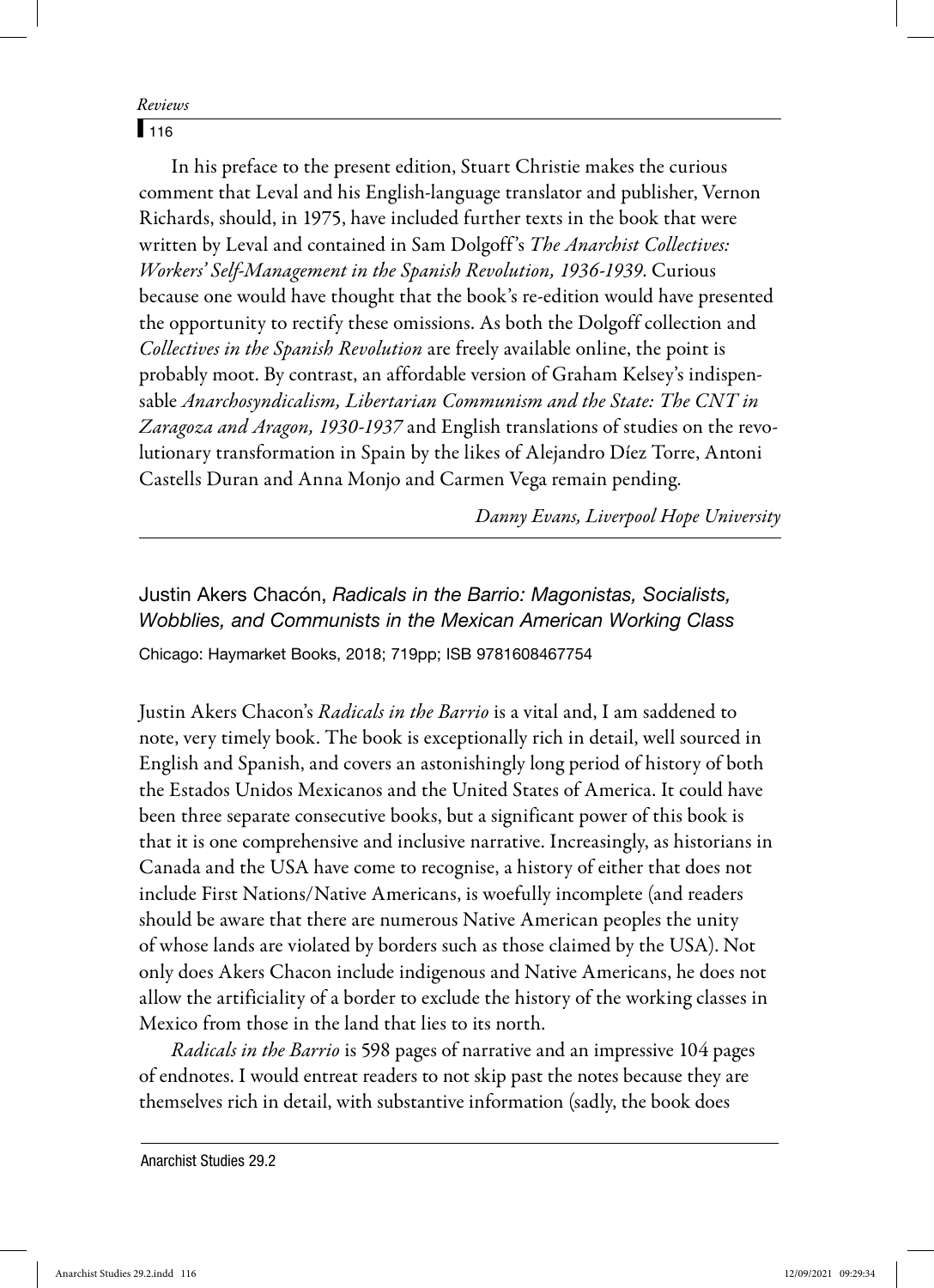$116$ 

In his preface to the present edition, Stuart Christie makes the curious comment that Leval and his English-language translator and publisher, Vernon Richards, should, in 1975, have included further texts in the book that were written by Leval and contained in Sam Dolgoff's The Anarchist Collectives: Workers' Self-Management in the Spanish Revolution, 1936-1939. Curious because one would have thought that the book's re-edition would have presented the opportunity to rectify these omissions. As both the Dolgoff collection and Collectives in the Spanish Revolution are freely available online, the point is probably moot. By contrast, an affordable version of Graham Kelsey's indispensable Anarchosyndicalism, Libertarian Communism and the State: The CNT in Zaragoza and Aragon, 1930-1937 and English translations of studies on the revolutionary transformation in Spain by the likes of Alejandro Díez Torre, Antoni Castells Duran and Anna Monjo and Carmen Vega remain pending.

Danny Evans, Liverpool Hope University

Justin Akers Chacón, *Radicals in the Barrio: Magonistas, Socialists, Wobblies, and Communists in the Mexican American Working Class* Chicago: Haymarket Books, 2018; 719pp; ISB 9781608467754

Justin Akers Chacon's Radicals in the Barrio is a vital and, I am saddened to note, very timely book. The book is exceptionally rich in detail, well sourced in English and Spanish, and covers an astonishingly long period of history of both the Estados Unidos Mexicanos and the United States of America. It could have been three separate consecutive books, but a significant power of this book is that it is one comprehensive and inclusive narrative. Increasingly, as historians in Canada and the USA have come to recognise, a history of either that does not include First Nations/Native Americans, is woefully incomplete (and readers should be aware that there are numerous Native American peoples the unity of whose lands are violated by borders such as those claimed by the USA). Not only does Akers Chacon include indigenous and Native Americans, he does not allow the artificiality of a border to exclude the history of the working classes in Mexico from those in the land that lies to its north.

Radicals in the Barrio is 598 pages of narrative and an impressive 104 pages of endnotes. I would entreat readers to not skip past the notes because they are themselves rich in detail, with substantive information (sadly, the book does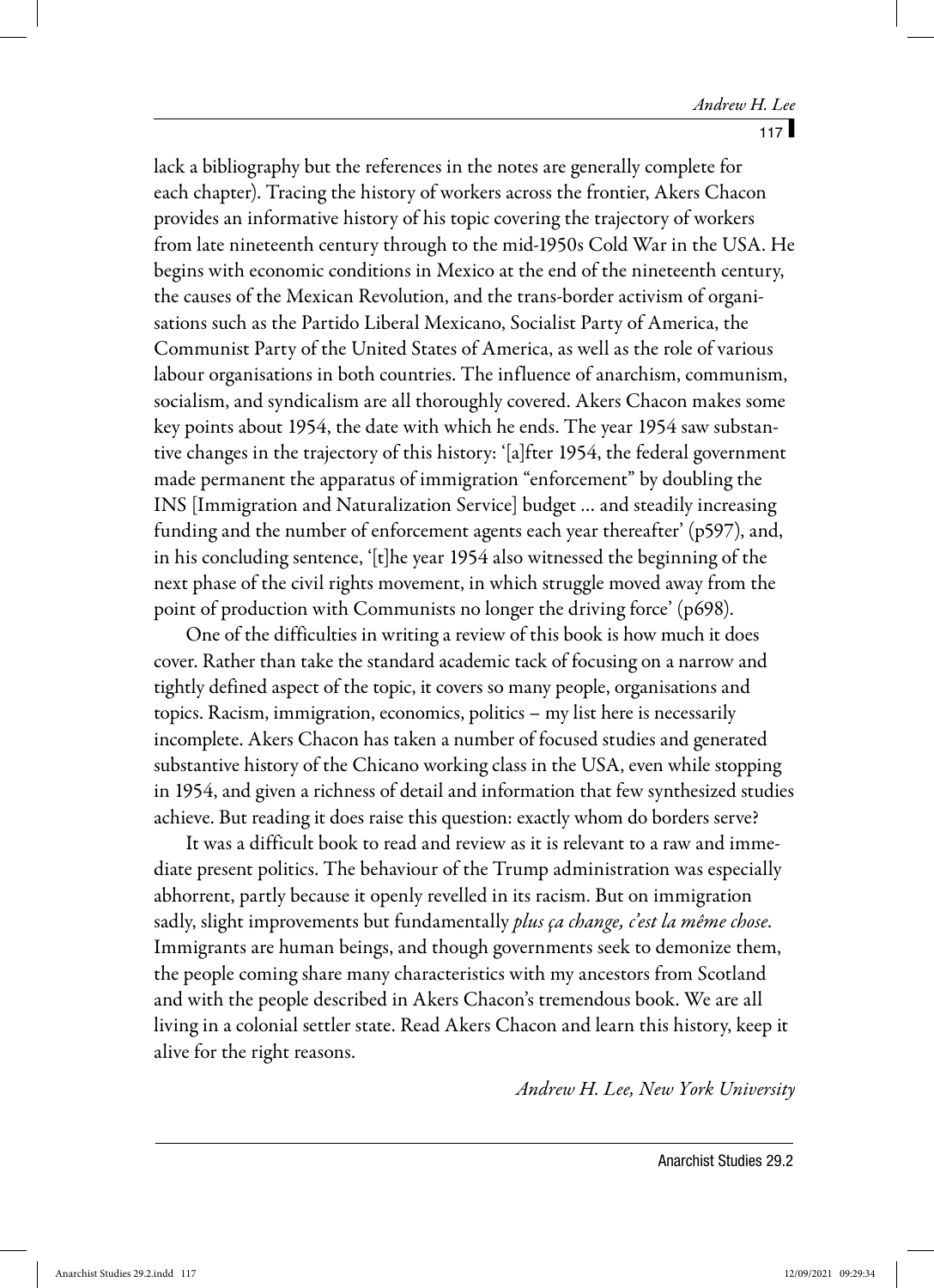lack a bibliography but the references in the notes are generally complete for each chapter). Tracing the history of workers across the frontier, Akers Chacon provides an informative history of his topic covering the trajectory of workers from late nineteenth century through to the mid-1950s Cold War in the USA. He begins with economic conditions in Mexico at the end of the nineteenth century, the causes of the Mexican Revolution, and the trans-border activism of organisations such as the Partido Liberal Mexicano, Socialist Party of America, the Communist Party of the United States of America, as well as the role of various labour organisations in both countries. The influence of anarchism, communism, socialism, and syndicalism are all thoroughly covered. Akers Chacon makes some key points about 1954, the date with which he ends. The year 1954 saw substantive changes in the trajectory of this history: '[a]fter 1954, the federal government made permanent the apparatus of immigration "enforcement" by doubling the INS [Immigration and Naturalization Service] budget … and steadily increasing funding and the number of enforcement agents each year thereafter' (p597), and, in his concluding sentence, '[t]he year 1954 also witnessed the beginning of the next phase of the civil rights movement, in which struggle moved away from the point of production with Communists no longer the driving force' (p698).

One of the difficulties in writing a review of this book is how much it does cover. Rather than take the standard academic tack of focusing on a narrow and tightly defined aspect of the topic, it covers so many people, organisations and topics. Racism, immigration, economics, politics – my list here is necessarily incomplete. Akers Chacon has taken a number of focused studies and generated substantive history of the Chicano working class in the USA, even while stopping in 1954, and given a richness of detail and information that few synthesized studies achieve. But reading it does raise this question: exactly whom do borders serve?

It was a difficult book to read and review as it is relevant to a raw and immediate present politics. The behaviour of the Trump administration was especially abhorrent, partly because it openly revelled in its racism. But on immigration sadly, slight improvements but fundamentally *plus ça change, c'est la même chose*. Immigrants are human beings, and though governments seek to demonize them, the people coming share many characteristics with my ancestors from Scotland and with the people described in Akers Chacon's tremendous book. We are all living in a colonial settler state. Read Akers Chacon and learn this history, keep it alive for the right reasons.

Andrew H. Lee, New York University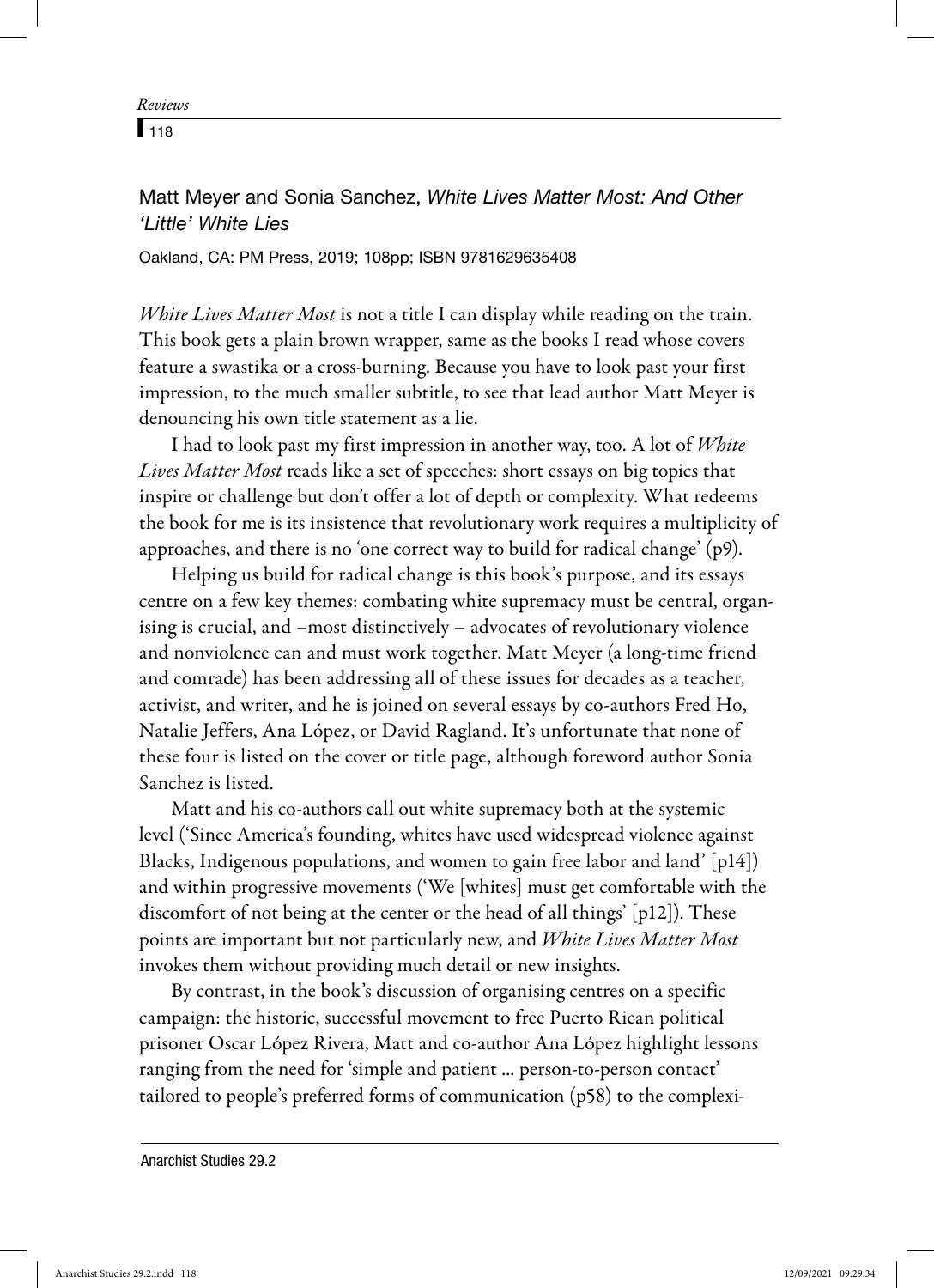$\sqrt{118}$ 

## Matt Meyer and Sonia Sanchez, *White Lives Matter Most: And Other 'Little' White Lies*

Oakland, CA: PM Press, 2019; 108pp; ISBN 9781629635408

White Lives Matter Most is not a title I can display while reading on the train. This book gets a plain brown wrapper, same as the books I read whose covers feature a swastika or a cross-burning. Because you have to look past your first impression, to the much smaller subtitle, to see that lead author Matt Meyer is denouncing his own title statement as a lie.

I had to look past my first impression in another way, too. A lot of White Lives Matter Most reads like a set of speeches: short essays on big topics that inspire or challenge but don't offer a lot of depth or complexity. What redeems the book for me is its insistence that revolutionary work requires a multiplicity of approaches, and there is no 'one correct way to build for radical change' (p9).

Helping us build for radical change is this book's purpose, and its essays centre on a few key themes: combating white supremacy must be central, organising is crucial, and –most distinctively – advocates of revolutionary violence and nonviolence can and must work together. Matt Meyer (a long-time friend and comrade) has been addressing all of these issues for decades as a teacher, activist, and writer, and he is joined on several essays by co-authors Fred Ho, Natalie Jeffers, Ana López, or David Ragland. It's unfortunate that none of these four is listed on the cover or title page, although foreword author Sonia Sanchez is listed.

Matt and his co-authors call out white supremacy both at the systemic level ('Since America's founding, whites have used widespread violence against Blacks, Indigenous populations, and women to gain free labor and land' [p14]) and within progressive movements ('We [whites] must get comfortable with the discomfort of not being at the center or the head of all things' [p12]). These points are important but not particularly new, and White Lives Matter Most invokes them without providing much detail or new insights.

By contrast, in the book's discussion of organising centres on a specific campaign: the historic, successful movement to free Puerto Rican political prisoner Oscar López Rivera, Matt and co-author Ana López highlight lessons ranging from the need for 'simple and patient ... person-to-person contact' tailored to people's preferred forms of communication (p58) to the complexi-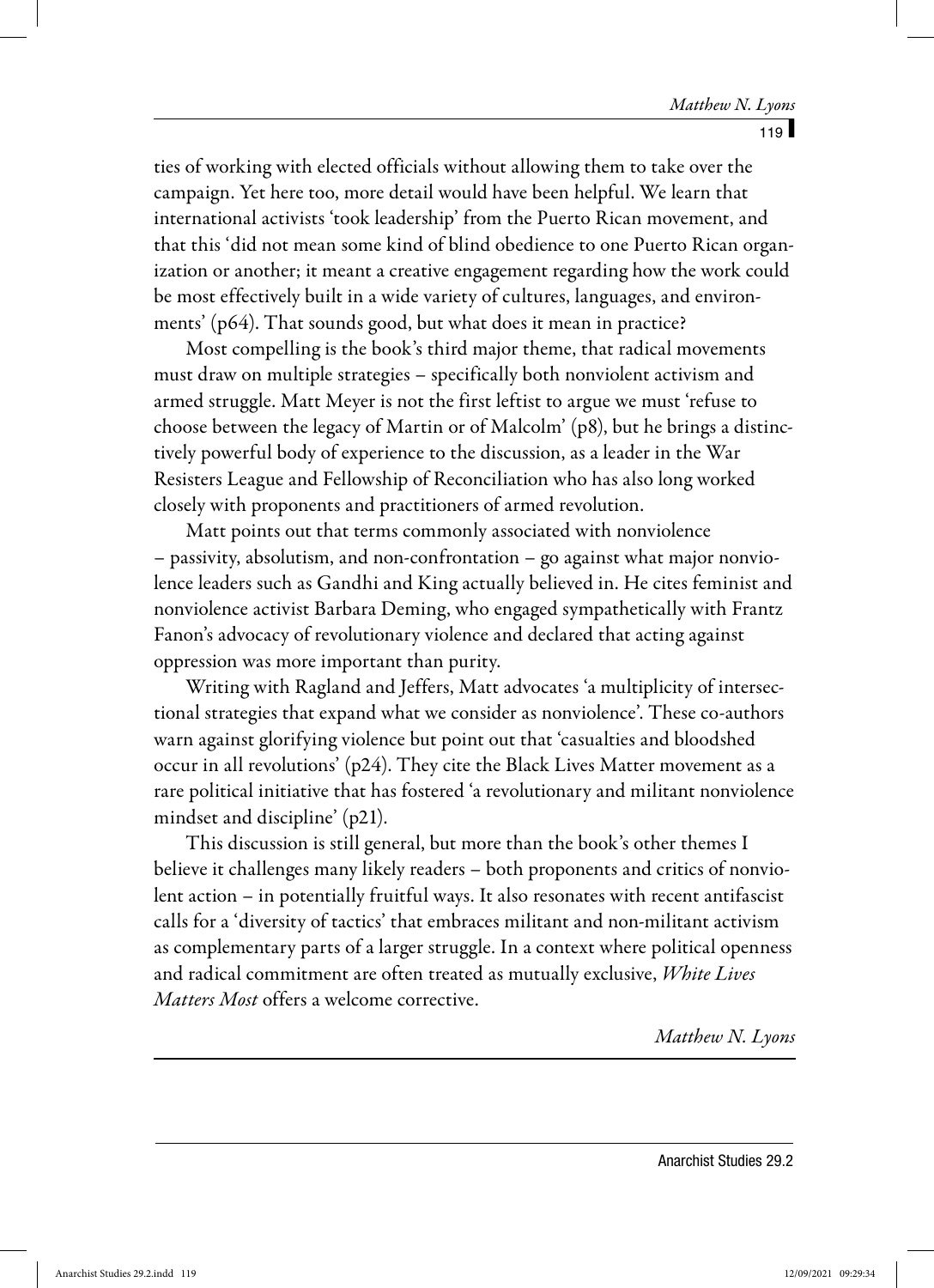ties of working with elected officials without allowing them to take over the campaign. Yet here too, more detail would have been helpful. We learn that international activists 'took leadership' from the Puerto Rican movement, and that this 'did not mean some kind of blind obedience to one Puerto Rican organization or another; it meant a creative engagement regarding how the work could be most effectively built in a wide variety of cultures, languages, and environments' (p64). That sounds good, but what does it mean in practice?

Most compelling is the book's third major theme, that radical movements must draw on multiple strategies – specifically both nonviolent activism and armed struggle. Matt Meyer is not the first leftist to argue we must 'refuse to choose between the legacy of Martin or of Malcolm' (p8), but he brings a distinctively powerful body of experience to the discussion, as a leader in the War Resisters League and Fellowship of Reconciliation who has also long worked closely with proponents and practitioners of armed revolution.

Matt points out that terms commonly associated with nonviolence – passivity, absolutism, and non-confrontation – go against what major nonviolence leaders such as Gandhi and King actually believed in. He cites feminist and nonviolence activist Barbara Deming, who engaged sympathetically with Frantz Fanon's advocacy of revolutionary violence and declared that acting against oppression was more important than purity.

Writing with Ragland and Jeffers, Matt advocates 'a multiplicity of intersectional strategies that expand what we consider as nonviolence'. These co-authors warn against glorifying violence but point out that 'casualties and bloodshed occur in all revolutions' (p24). They cite the Black Lives Matter movement as a rare political initiative that has fostered 'a revolutionary and militant nonviolence mindset and discipline' (p21).

This discussion is still general, but more than the book's other themes I believe it challenges many likely readers – both proponents and critics of nonviolent action – in potentially fruitful ways. It also resonates with recent antifascist calls for a 'diversity of tactics' that embraces militant and non-militant activism as complementary parts of a larger struggle. In a context where political openness and radical commitment are often treated as mutually exclusive, White Lives Matters Most offers a welcome corrective.

Matthew N. Lyons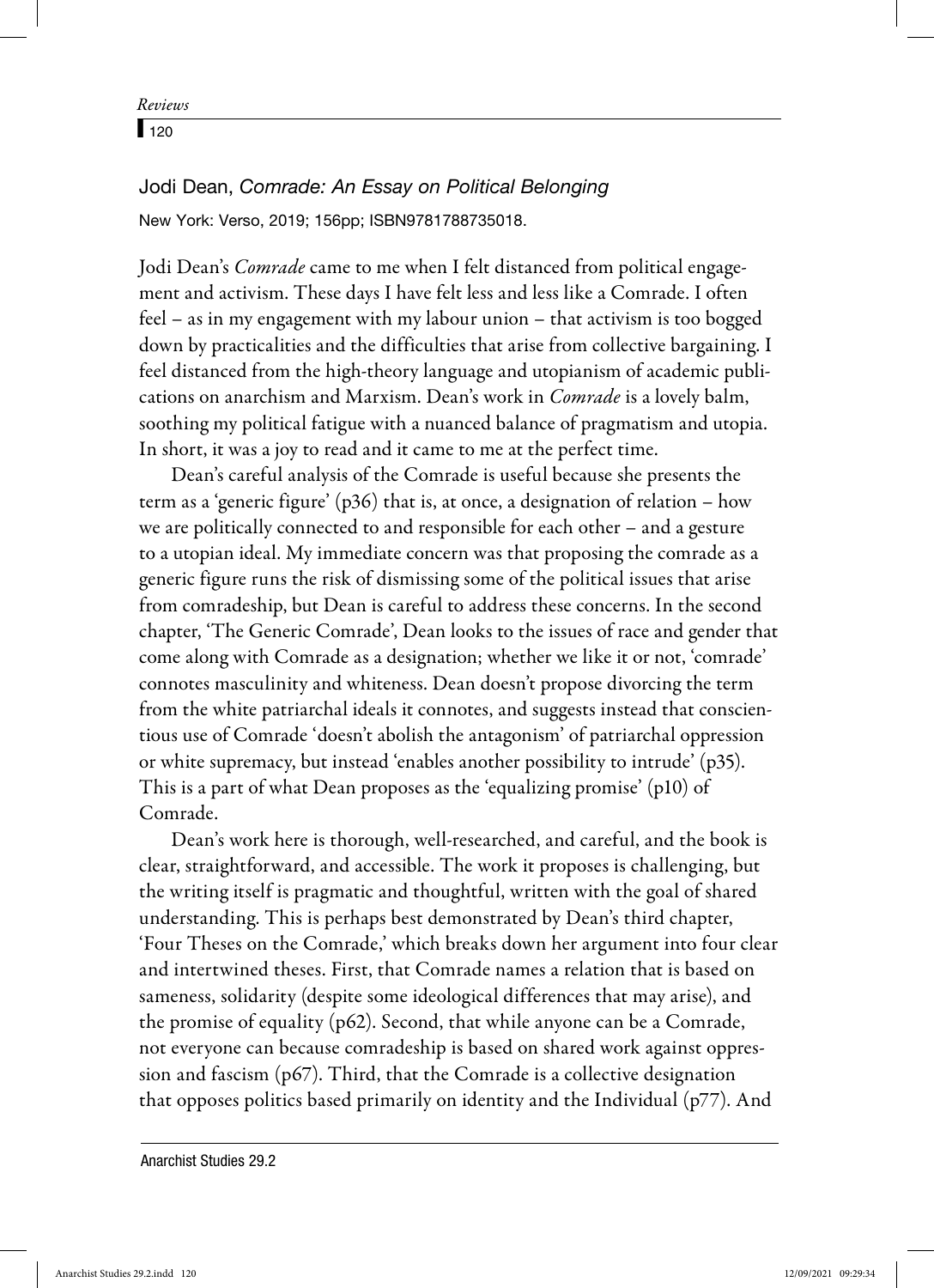$\sqrt{120}$ 

Jodi Dean, *Comrade: An Essay on Political Belonging* New York: Verso, 2019; 156pp; ISBN9781788735018.

Jodi Dean's Comrade came to me when I felt distanced from political engagement and activism. These days I have felt less and less like a Comrade. I often feel – as in my engagement with my labour union – that activism is too bogged down by practicalities and the difficulties that arise from collective bargaining. I feel distanced from the high-theory language and utopianism of academic publications on anarchism and Marxism. Dean's work in Comrade is a lovely balm, soothing my political fatigue with a nuanced balance of pragmatism and utopia. In short, it was a joy to read and it came to me at the perfect time.

Dean's careful analysis of the Comrade is useful because she presents the term as a 'generic figure' (p36) that is, at once, a designation of relation – how we are politically connected to and responsible for each other – and a gesture to a utopian ideal. My immediate concern was that proposing the comrade as a generic figure runs the risk of dismissing some of the political issues that arise from comradeship, but Dean is careful to address these concerns. In the second chapter, 'The Generic Comrade', Dean looks to the issues of race and gender that come along with Comrade as a designation; whether we like it or not, 'comrade' connotes masculinity and whiteness. Dean doesn't propose divorcing the term from the white patriarchal ideals it connotes, and suggests instead that conscientious use of Comrade 'doesn't abolish the antagonism' of patriarchal oppression or white supremacy, but instead 'enables another possibility to intrude' (p35). This is a part of what Dean proposes as the 'equalizing promise' (p10) of Comrade.

Dean's work here is thorough, well-researched, and careful, and the book is clear, straightforward, and accessible. The work it proposes is challenging, but the writing itself is pragmatic and thoughtful, written with the goal of shared understanding. This is perhaps best demonstrated by Dean's third chapter, 'Four Theses on the Comrade,' which breaks down her argument into four clear and intertwined theses. First, that Comrade names a relation that is based on sameness, solidarity (despite some ideological differences that may arise), and the promise of equality (p62). Second, that while anyone can be a Comrade, not everyone can because comradeship is based on shared work against oppression and fascism (p67). Third, that the Comrade is a collective designation that opposes politics based primarily on identity and the Individual (p77). And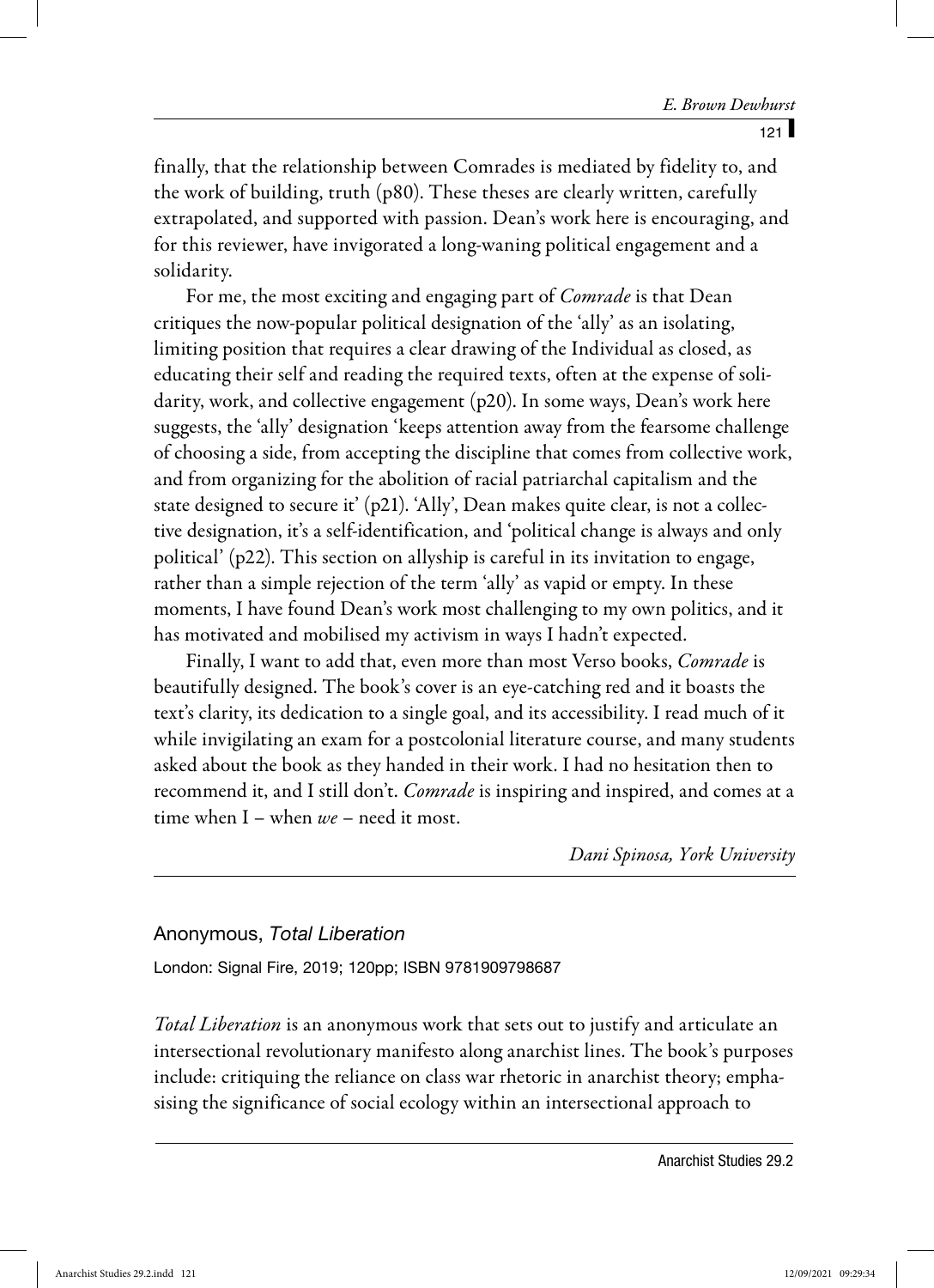finally, that the relationship between Comrades is mediated by fidelity to, and the work of building, truth (p80). These theses are clearly written, carefully extrapolated, and supported with passion. Dean's work here is encouraging, and for this reviewer, have invigorated a long-waning political engagement and a solidarity.

For me, the most exciting and engaging part of *Comrade* is that Dean critiques the now-popular political designation of the 'ally' as an isolating, limiting position that requires a clear drawing of the Individual as closed, as educating their self and reading the required texts, often at the expense of solidarity, work, and collective engagement (p20). In some ways, Dean's work here suggests, the 'ally' designation 'keeps attention away from the fearsome challenge of choosing a side, from accepting the discipline that comes from collective work, and from organizing for the abolition of racial patriarchal capitalism and the state designed to secure it' (p21). 'Ally', Dean makes quite clear, is not a collective designation, it's a self-identification, and 'political change is always and only political' (p22). This section on allyship is careful in its invitation to engage, rather than a simple rejection of the term 'ally' as vapid or empty. In these moments, I have found Dean's work most challenging to my own politics, and it has motivated and mobilised my activism in ways I hadn't expected.

Finally, I want to add that, even more than most Verso books, *Comrade* is beautifully designed. The book's cover is an eye-catching red and it boasts the text's clarity, its dedication to a single goal, and its accessibility. I read much of it while invigilating an exam for a postcolonial literature course, and many students asked about the book as they handed in their work. I had no hesitation then to recommend it, and I still don't. *Comrade* is inspiring and inspired, and comes at a time when I – when  $we$  – need it most.

Dani Spinosa, York University

#### Anonymous, *Total Liberation*

London: Signal Fire, 2019; 120pp; ISBN 9781909798687

Total Liberation is an anonymous work that sets out to justify and articulate an intersectional revolutionary manifesto along anarchist lines. The book's purposes include: critiquing the reliance on class war rhetoric in anarchist theory; emphasising the significance of social ecology within an intersectional approach to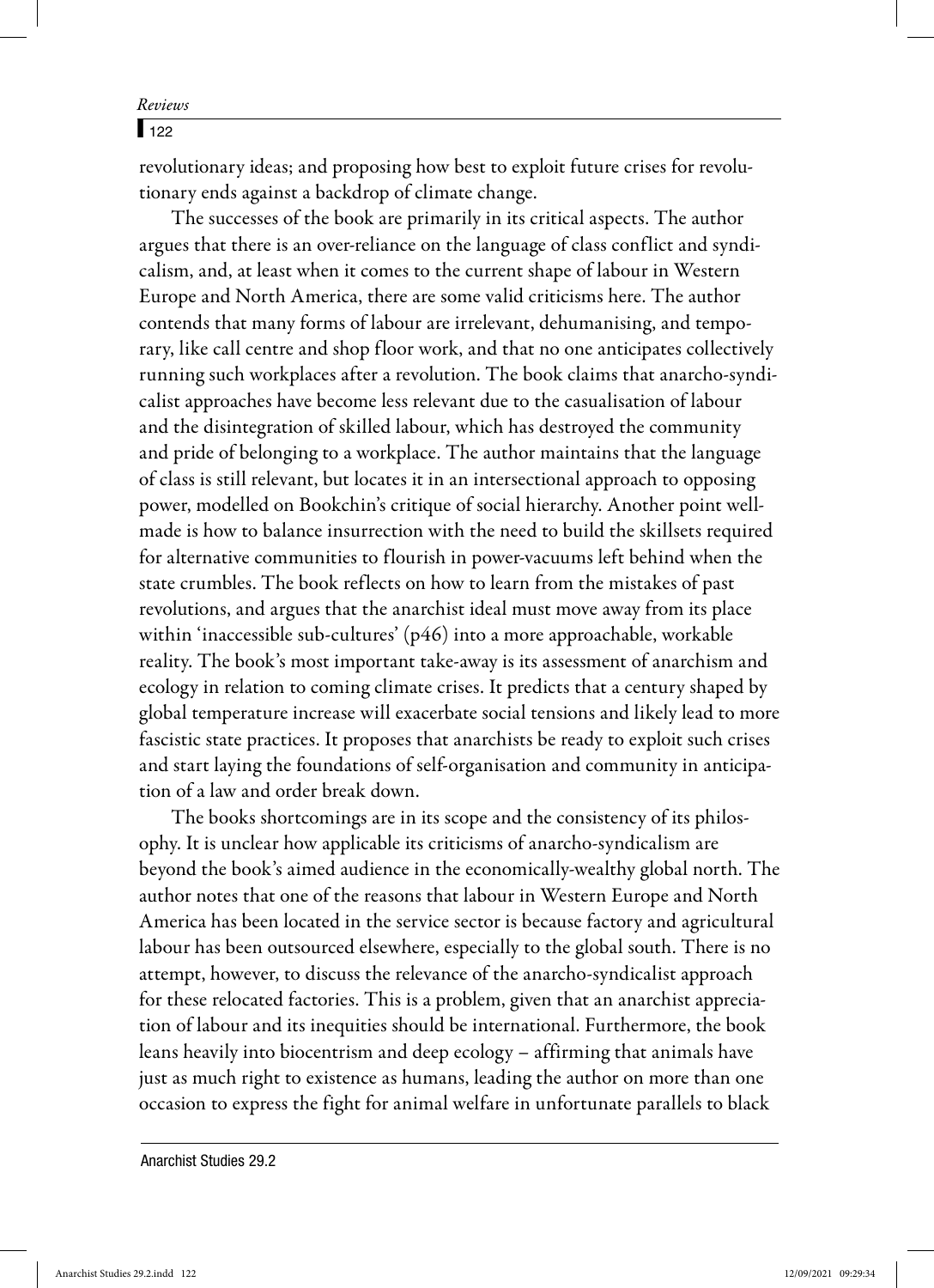$\sqrt{122}$ 

revolutionary ideas; and proposing how best to exploit future crises for revolutionary ends against a backdrop of climate change.

The successes of the book are primarily in its critical aspects. The author argues that there is an over-reliance on the language of class conflict and syndicalism, and, at least when it comes to the current shape of labour in Western Europe and North America, there are some valid criticisms here. The author contends that many forms of labour are irrelevant, dehumanising, and temporary, like call centre and shop floor work, and that no one anticipates collectively running such workplaces after a revolution. The book claims that anarcho-syndicalist approaches have become less relevant due to the casualisation of labour and the disintegration of skilled labour, which has destroyed the community and pride of belonging to a workplace. The author maintains that the language of class is still relevant, but locates it in an intersectional approach to opposing power, modelled on Bookchin's critique of social hierarchy. Another point wellmade is how to balance insurrection with the need to build the skillsets required for alternative communities to flourish in power-vacuums left behind when the state crumbles. The book reflects on how to learn from the mistakes of past revolutions, and argues that the anarchist ideal must move away from its place within 'inaccessible sub-cultures' (p46) into a more approachable, workable reality. The book's most important take-away is its assessment of anarchism and ecology in relation to coming climate crises. It predicts that a century shaped by global temperature increase will exacerbate social tensions and likely lead to more fascistic state practices. It proposes that anarchists be ready to exploit such crises and start laying the foundations of self-organisation and community in anticipation of a law and order break down.

The books shortcomings are in its scope and the consistency of its philosophy. It is unclear how applicable its criticisms of anarcho-syndicalism are beyond the book's aimed audience in the economically-wealthy global north. The author notes that one of the reasons that labour in Western Europe and North America has been located in the service sector is because factory and agricultural labour has been outsourced elsewhere, especially to the global south. There is no attempt, however, to discuss the relevance of the anarcho-syndicalist approach for these relocated factories. This is a problem, given that an anarchist appreciation of labour and its inequities should be international. Furthermore, the book leans heavily into biocentrism and deep ecology – affirming that animals have just as much right to existence as humans, leading the author on more than one occasion to express the fight for animal welfare in unfortunate parallels to black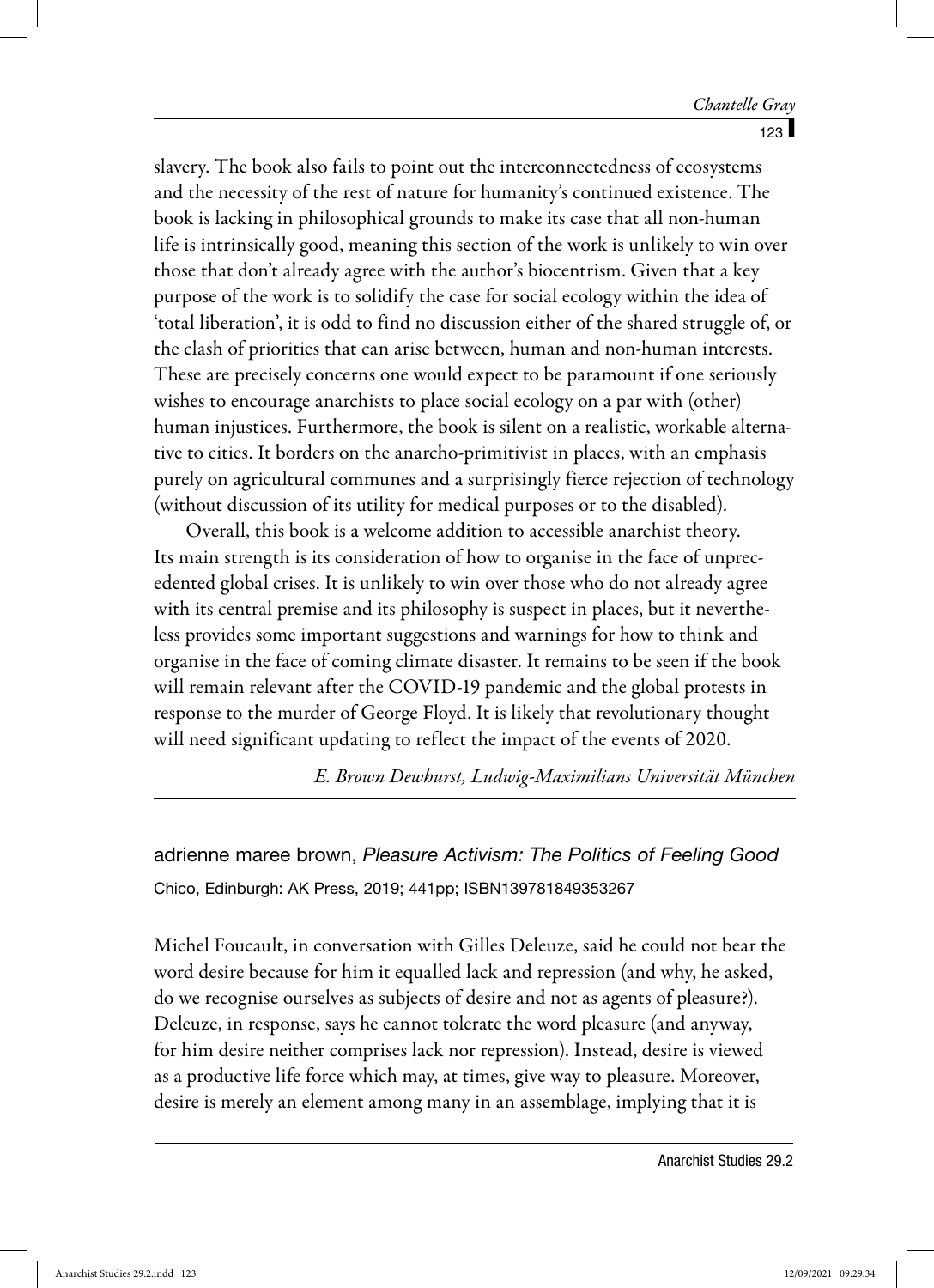slavery. The book also fails to point out the interconnectedness of ecosystems and the necessity of the rest of nature for humanity's continued existence. The book is lacking in philosophical grounds to make its case that all non-human life is intrinsically good, meaning this section of the work is unlikely to win over those that don't already agree with the author's biocentrism. Given that a key purpose of the work is to solidify the case for social ecology within the idea of 'total liberation', it is odd to find no discussion either of the shared struggle of, or the clash of priorities that can arise between, human and non-human interests. These are precisely concerns one would expect to be paramount if one seriously wishes to encourage anarchists to place social ecology on a par with (other) human injustices. Furthermore, the book is silent on a realistic, workable alternative to cities. It borders on the anarcho-primitivist in places, with an emphasis purely on agricultural communes and a surprisingly fierce rejection of technology (without discussion of its utility for medical purposes or to the disabled).

Overall, this book is a welcome addition to accessible anarchist theory. Its main strength is its consideration of how to organise in the face of unprecedented global crises. It is unlikely to win over those who do not already agree with its central premise and its philosophy is suspect in places, but it nevertheless provides some important suggestions and warnings for how to think and organise in the face of coming climate disaster. It remains to be seen if the book will remain relevant after the COVID-19 pandemic and the global protests in response to the murder of George Floyd. It is likely that revolutionary thought will need significant updating to reflect the impact of the events of 2020.

E. Brown Dewhurst, Ludwig-Maximilians Universität München

adrienne maree brown, *Pleasure Activism: The Politics of Feeling Good* Chico, Edinburgh: AK Press, 2019; 441pp; ISBN139781849353267

Michel Foucault, in conversation with Gilles Deleuze, said he could not bear the word desire because for him it equalled lack and repression (and why, he asked, do we recognise ourselves as subjects of desire and not as agents of pleasure?). Deleuze, in response, says he cannot tolerate the word pleasure (and anyway, for him desire neither comprises lack nor repression). Instead, desire is viewed as a productive life force which may, at times, give way to pleasure. Moreover, desire is merely an element among many in an assemblage, implying that it is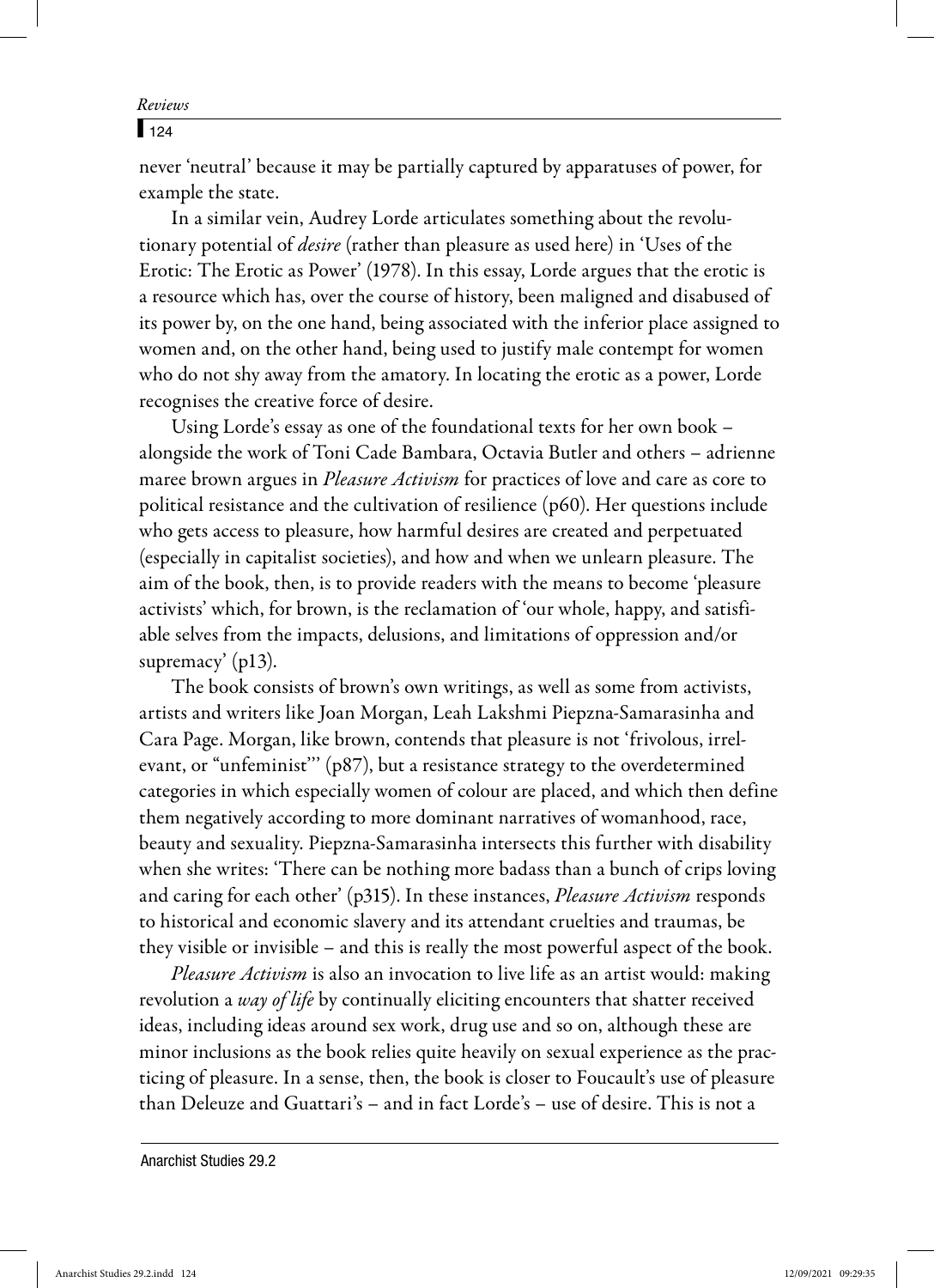## $\sqrt{124}$

never 'neutral' because it may be partially captured by apparatuses of power, for example the state.

In a similar vein, Audrey Lorde articulates something about the revolutionary potential of desire (rather than pleasure as used here) in 'Uses of the Erotic: The Erotic as Power' (1978). In this essay, Lorde argues that the erotic is a resource which has, over the course of history, been maligned and disabused of its power by, on the one hand, being associated with the inferior place assigned to women and, on the other hand, being used to justify male contempt for women who do not shy away from the amatory. In locating the erotic as a power, Lorde recognises the creative force of desire.

Using Lorde's essay as one of the foundational texts for her own book – alongside the work of Toni Cade Bambara, Octavia Butler and others – adrienne maree brown argues in *Pleasure Activism* for practices of love and care as core to political resistance and the cultivation of resilience (p60). Her questions include who gets access to pleasure, how harmful desires are created and perpetuated (especially in capitalist societies), and how and when we unlearn pleasure. The aim of the book, then, is to provide readers with the means to become 'pleasure activists' which, for brown, is the reclamation of 'our whole, happy, and satisfiable selves from the impacts, delusions, and limitations of oppression and/or supremacy' (p13).

The book consists of brown's own writings, as well as some from activists, artists and writers like Joan Morgan, Leah Lakshmi Piepzna-Samarasinha and Cara Page. Morgan, like brown, contends that pleasure is not 'frivolous, irrelevant, or "unfeminist''' (p87), but a resistance strategy to the overdetermined categories in which especially women of colour are placed, and which then define them negatively according to more dominant narratives of womanhood, race, beauty and sexuality. Piepzna-Samarasinha intersects this further with disability when she writes: 'There can be nothing more badass than a bunch of crips loving and caring for each other' (p315). In these instances, Pleasure Activism responds to historical and economic slavery and its attendant cruelties and traumas, be they visible or invisible – and this is really the most powerful aspect of the book.

Pleasure Activism is also an invocation to live life as an artist would: making revolution a way of life by continually eliciting encounters that shatter received ideas, including ideas around sex work, drug use and so on, although these are minor inclusions as the book relies quite heavily on sexual experience as the practicing of pleasure. In a sense, then, the book is closer to Foucault's use of pleasure than Deleuze and Guattari's – and in fact Lorde's – use of desire. This is not a